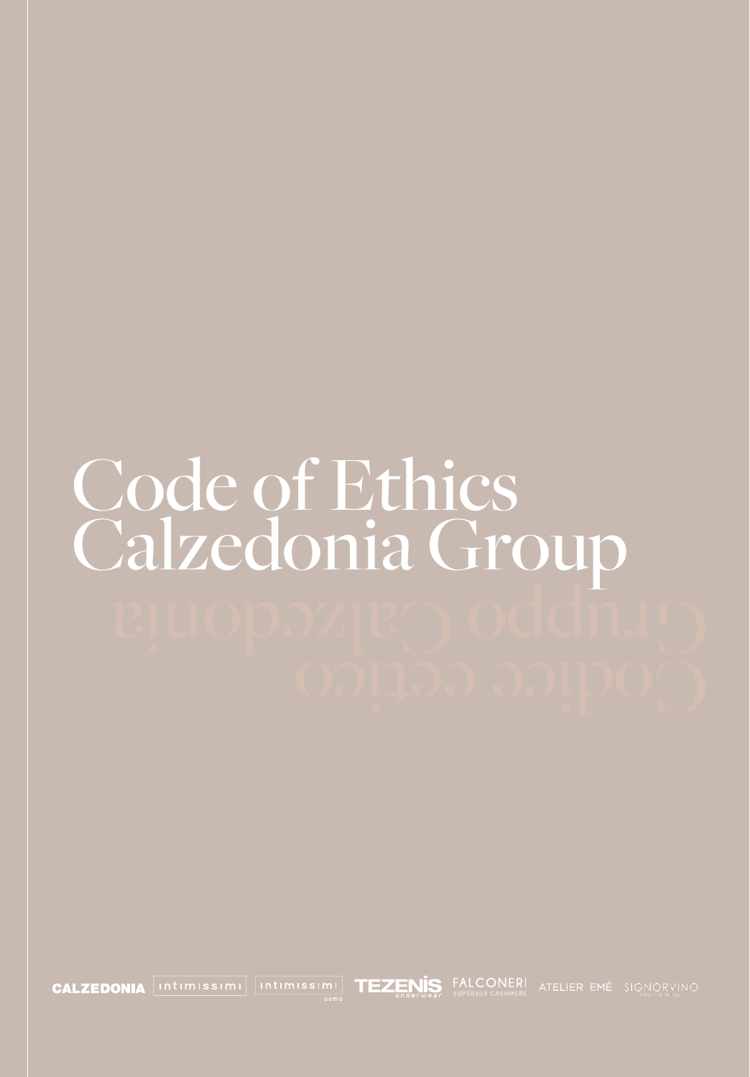## Code of Ethics Calzedonia Group  $\rm{g}$ uppoz $\rm{g}$ e $\rm{g}$ odoni $\rm{g}$

**CALZEDONIA** Intimissimi Intimissimi **TEZENIS** FALCONERI ATELIER EMÉ SIGNORVINO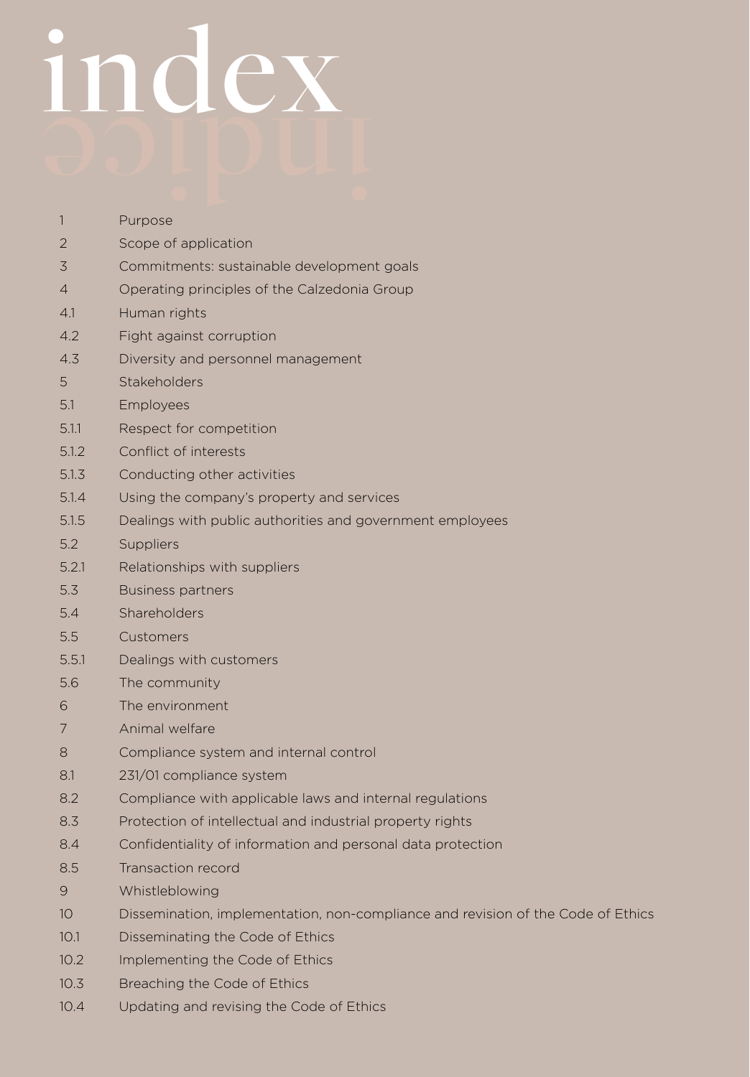## CODE OF ETHICS CALZEDONIA GROUP index

| 1               | Purpose                                                                          |
|-----------------|----------------------------------------------------------------------------------|
| 2               | Scope of application                                                             |
| 3               | Commitments: sustainable development goals                                       |
| $\overline{4}$  | Operating principles of the Calzedonia Group                                     |
| 4.1             | Human rights                                                                     |
| 4.2             | Fight against corruption                                                         |
| 4.3             | Diversity and personnel management                                               |
| 5               | <b>Stakeholders</b>                                                              |
| 5.1             | Employees                                                                        |
| 5.1.1           | Respect for competition                                                          |
| 5.1.2           | Conflict of interests                                                            |
| 5.1.3           | Conducting other activities                                                      |
| 5.1.4           | Using the company's property and services                                        |
| 5.1.5           | Dealings with public authorities and government employees                        |
| 5.2             | Suppliers                                                                        |
| 5.2.1           | Relationships with suppliers                                                     |
| 5.3             | <b>Business partners</b>                                                         |
| 5.4             | Shareholders                                                                     |
| 5.5             | Customers                                                                        |
| 5.5.1           | Dealings with customers                                                          |
| 5.6             | The community                                                                    |
| 6               | The environment                                                                  |
| 7               | Animal welfare                                                                   |
| 8               | Compliance system and internal control                                           |
| 8.1             | 231/01 compliance system                                                         |
| 8.2             | Compliance with applicable laws and internal regulations                         |
| 8.3             | Protection of intellectual and industrial property rights                        |
| 8.4             | Confidentiality of information and personal data protection                      |
| 8.5             | Transaction record                                                               |
| 9               | Whistleblowing                                                                   |
| 10 <sup>°</sup> | Dissemination, implementation, non-compliance and revision of the Code of Ethics |
| 10.1            | Disseminating the Code of Ethics                                                 |
| 10.2            | Implementing the Code of Ethics                                                  |
| 10.3            | Breaching the Code of Ethics                                                     |
|                 |                                                                                  |

2 10.4 Updating and revising the Code of Ethics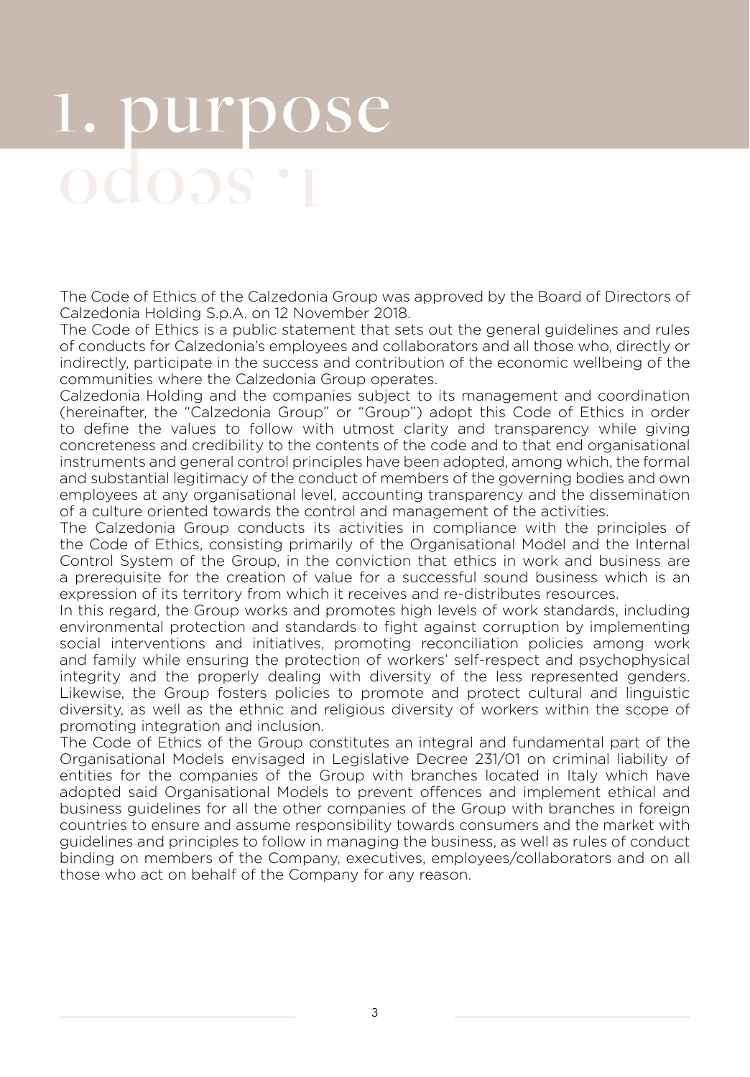## 1. purpose

The Code of Ethics of the Calzedonia Group was approved by the Board of Directors of Calzedonia Holding S.p.A. on 12 November 2018.

The Code of Ethics is a public statement that sets out the general guidelines and rules of conducts for Calzedonia's employees and collaborators and all those who, directly or indirectly, participate in the success and contribution of the economic wellbeing of the communities where the Calzedonia Group operates.

Calzedonia Holding and the companies subject to its management and coordination (hereinafter, the "Calzedonia Group" or "Group") adopt this Code of Ethics in order to define the values to follow with utmost clarity and transparency while giving concreteness and credibility to the contents of the code and to that end organisational instruments and general control principles have been adopted, among which, the formal and substantial legitimacy of the conduct of members of the governing bodies and own employees at any organisational level, accounting transparency and the dissemination of a culture oriented towards the control and management of the activities.

The Calzedonia Group conducts its activities in compliance with the principles of the Code of Ethics, consisting primarily of the Organisational Model and the Internal Control System of the Group, in the conviction that ethics in work and business are a prerequisite for the creation of value for a successful sound business which is an expression of its territory from which it receives and re-distributes resources.

In this regard, the Group works and promotes high levels of work standards, including environmental protection and standards to fight against corruption by implementing social interventions and initiatives, promoting reconciliation policies among work and family while ensuring the protection of workers' self-respect and psychophysical integrity and the properly dealing with diversity of the less represented genders. Likewise, the Group fosters policies to promote and protect cultural and linguistic diversity, as well as the ethnic and religious diversity of workers within the scope of promoting integration and inclusion.

The Code of Ethics of the Group constitutes an integral and fundamental part of the Organisational Models envisaged in Legislative Decree 231/01 on criminal liability of entities for the companies of the Group with branches located in Italy which have adopted said Organisational Models to prevent offences and implement ethical and business guidelines for all the other companies of the Group with branches in foreign countries to ensure and assume responsibility towards consumers and the market with guidelines and principles to follow in managing the business, as well as rules of conduct binding on members of the Company, executives, employees/collaborators and on all those who act on behalf of the Company for any reason.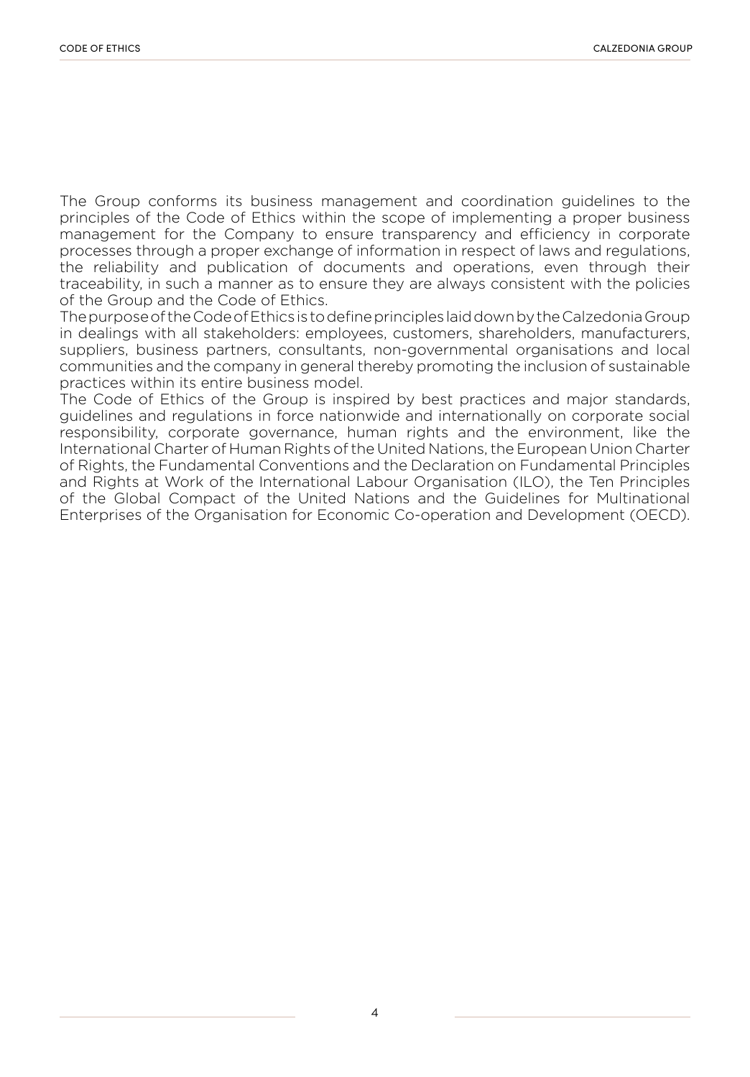The Group conforms its business management and coordination guidelines to the principles of the Code of Ethics within the scope of implementing a proper business management for the Company to ensure transparency and efficiency in corporate processes through a proper exchange of information in respect of laws and regulations, the reliability and publication of documents and operations, even through their traceability, in such a manner as to ensure they are always consistent with the policies of the Group and the Code of Ethics.

The purpose of the Code of Ethics is to define principles laid down by the Calzedonia Group in dealings with all stakeholders: employees, customers, shareholders, manufacturers, suppliers, business partners, consultants, non-governmental organisations and local communities and the company in general thereby promoting the inclusion of sustainable practices within its entire business model.

The Code of Ethics of the Group is inspired by best practices and major standards, guidelines and regulations in force nationwide and internationally on corporate social responsibility, corporate governance, human rights and the environment, like the International Charter of Human Rights of the United Nations, the European Union Charter of Rights, the Fundamental Conventions and the Declaration on Fundamental Principles and Rights at Work of the International Labour Organisation (ILO), the Ten Principles of the Global Compact of the United Nations and the Guidelines for Multinational Enterprises of the Organisation for Economic Co-operation and Development (OECD).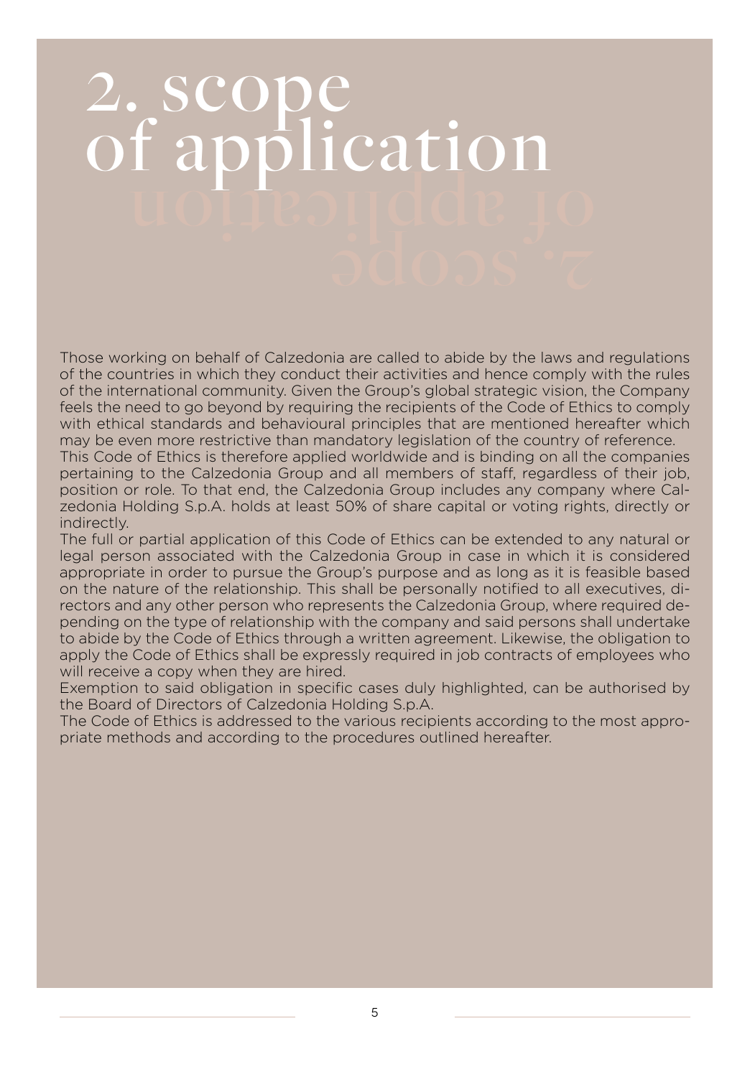## 2. scope of application of application

Those working on behalf of Calzedonia are called to abide by the laws and regulations of the countries in which they conduct their activities and hence comply with the rules of the international community. Given the Group's global strategic vision, the Company feels the need to go beyond by requiring the recipients of the Code of Ethics to comply with ethical standards and behavioural principles that are mentioned hereafter which may be even more restrictive than mandatory legislation of the country of reference.

This Code of Ethics is therefore applied worldwide and is binding on all the companies pertaining to the Calzedonia Group and all members of staff, regardless of their job, position or role. To that end, the Calzedonia Group includes any company where Calzedonia Holding S.p.A. holds at least 50% of share capital or voting rights, directly or indirectly.

The full or partial application of this Code of Ethics can be extended to any natural or legal person associated with the Calzedonia Group in case in which it is considered appropriate in order to pursue the Group's purpose and as long as it is feasible based on the nature of the relationship. This shall be personally notified to all executives, directors and any other person who represents the Calzedonia Group, where required depending on the type of relationship with the company and said persons shall undertake to abide by the Code of Ethics through a written agreement. Likewise, the obligation to apply the Code of Ethics shall be expressly required in job contracts of employees who will receive a copy when they are hired.

Exemption to said obligation in specific cases duly highlighted, can be authorised by the Board of Directors of Calzedonia Holding S.p.A.

The Code of Ethics is addressed to the various recipients according to the most appropriate methods and according to the procedures outlined hereafter.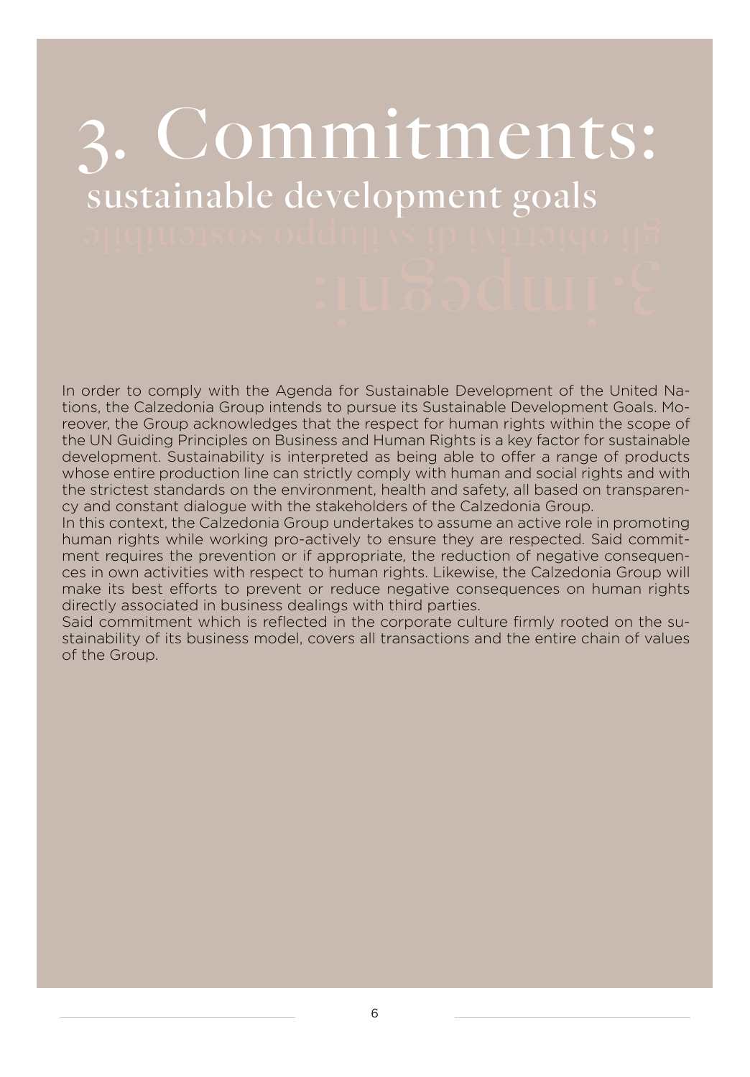### 3. Commitments: sustainable development goals

In order to comply with the Agenda for Sustainable Development of the United Nations, the Calzedonia Group intends to pursue its Sustainable Development Goals. Moreover, the Group acknowledges that the respect for human rights within the scope of the UN Guiding Principles on Business and Human Rights is a key factor for sustainable development. Sustainability is interpreted as being able to offer a range of products whose entire production line can strictly comply with human and social rights and with the strictest standards on the environment, health and safety, all based on transparency and constant dialogue with the stakeholders of the Calzedonia Group.

In this context, the Calzedonia Group undertakes to assume an active role in promoting human rights while working pro-actively to ensure they are respected. Said commitment requires the prevention or if appropriate, the reduction of negative consequences in own activities with respect to human rights. Likewise, the Calzedonia Group will make its best efforts to prevent or reduce negative consequences on human rights directly associated in business dealings with third parties.

Said commitment which is reflected in the corporate culture firmly rooted on the sustainability of its business model, covers all transactions and the entire chain of values of the Group.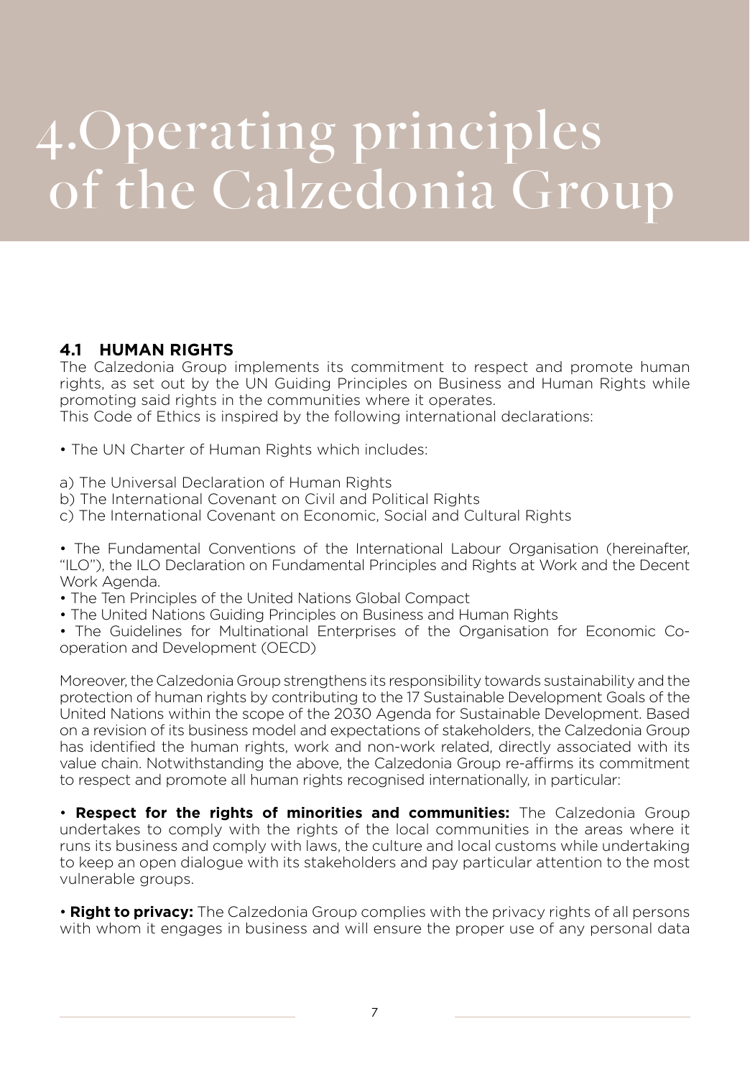## 4.Operating principles of the Calzedonia Group

#### **4.1 HUMAN RIGHTS**

The Calzedonia Group implements its commitment to respect and promote human rights, as set out by the UN Guiding Principles on Business and Human Rights while promoting said rights in the communities where it operates.

This Code of Ethics is inspired by the following international declarations:

• The UN Charter of Human Rights which includes:

- a) The Universal Declaration of Human Rights
- b) The International Covenant on Civil and Political Rights
- c) The International Covenant on Economic, Social and Cultural Rights

• The Fundamental Conventions of the International Labour Organisation (hereinafter, "ILO"), the ILO Declaration on Fundamental Principles and Rights at Work and the Decent Work Agenda.

- The Ten Principles of the United Nations Global Compact
- The United Nations Guiding Principles on Business and Human Rights
- The Guidelines for Multinational Enterprises of the Organisation for Economic Cooperation and Development (OECD)

Moreover, the Calzedonia Group strengthens its responsibility towards sustainability and the protection of human rights by contributing to the 17 Sustainable Development Goals of the United Nations within the scope of the 2030 Agenda for Sustainable Development. Based on a revision of its business model and expectations of stakeholders, the Calzedonia Group has identified the human rights, work and non-work related, directly associated with its value chain. Notwithstanding the above, the Calzedonia Group re-affirms its commitment to respect and promote all human rights recognised internationally, in particular:

• **Respect for the rights of minorities and communities:** The Calzedonia Group undertakes to comply with the rights of the local communities in the areas where it runs its business and comply with laws, the culture and local customs while undertaking to keep an open dialogue with its stakeholders and pay particular attention to the most vulnerable groups.

• **Right to privacy:** The Calzedonia Group complies with the privacy rights of all persons with whom it engages in business and will ensure the proper use of any personal data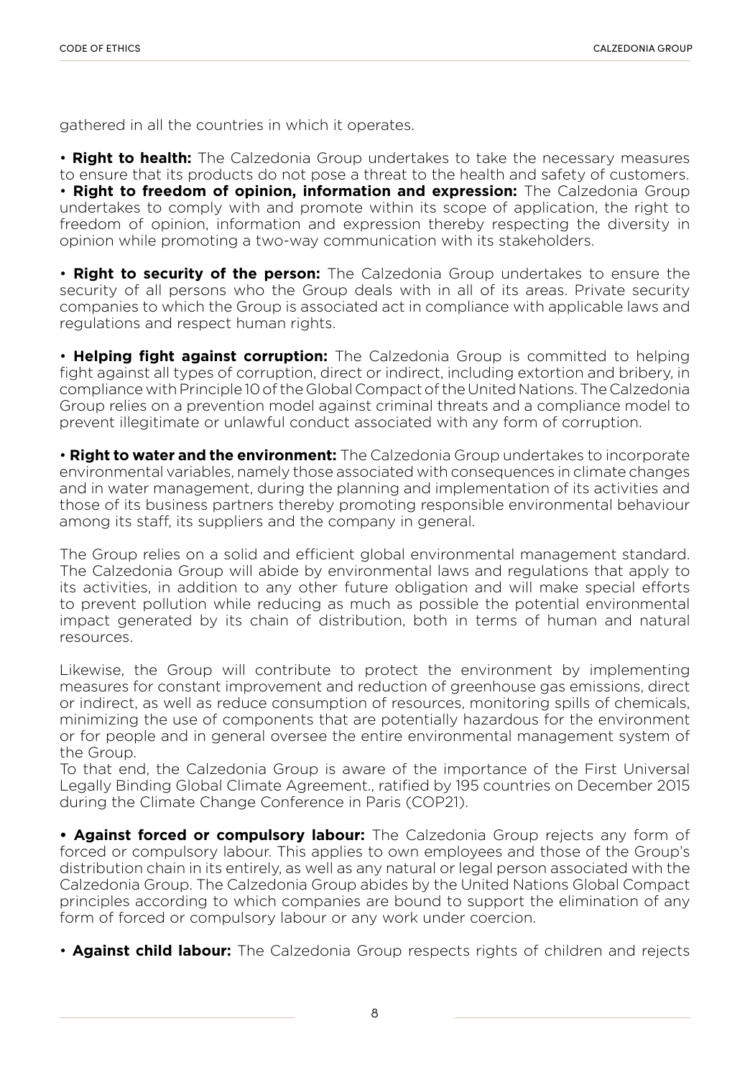gathered in all the countries in which it operates.

• **Right to health:** The Calzedonia Group undertakes to take the necessary measures to ensure that its products do not pose a threat to the health and safety of customers. • **Right to freedom of opinion, information and expression:** The Calzedonia Group undertakes to comply with and promote within its scope of application, the right to freedom of opinion, information and expression thereby respecting the diversity in opinion while promoting a two-way communication with its stakeholders.

• **Right to security of the person:** The Calzedonia Group undertakes to ensure the security of all persons who the Group deals with in all of its areas. Private security companies to which the Group is associated act in compliance with applicable laws and regulations and respect human rights.

• **Helping fight against corruption:** The Calzedonia Group is committed to helping fight against all types of corruption, direct or indirect, including extortion and bribery, in compliance with Principle 10 of the Global Compact of the United Nations. The Calzedonia Group relies on a prevention model against criminal threats and a compliance model to prevent illegitimate or unlawful conduct associated with any form of corruption.

• **Right to water and the environment:** The Calzedonia Group undertakes to incorporate environmental variables, namely those associated with consequences in climate changes and in water management, during the planning and implementation of its activities and those of its business partners thereby promoting responsible environmental behaviour among its staff, its suppliers and the company in general.

The Group relies on a solid and efficient global environmental management standard. The Calzedonia Group will abide by environmental laws and regulations that apply to its activities, in addition to any other future obligation and will make special efforts to prevent pollution while reducing as much as possible the potential environmental impact generated by its chain of distribution, both in terms of human and natural resources.

Likewise, the Group will contribute to protect the environment by implementing measures for constant improvement and reduction of greenhouse gas emissions, direct or indirect, as well as reduce consumption of resources, monitoring spills of chemicals, minimizing the use of components that are potentially hazardous for the environment or for people and in general oversee the entire environmental management system of the Group.

To that end, the Calzedonia Group is aware of the importance of the First Universal Legally Binding Global Climate Agreement., ratified by 195 countries on December 2015 during the Climate Change Conference in Paris (COP21).

**• Against forced or compulsory labour:** The Calzedonia Group rejects any form of forced or compulsory labour. This applies to own employees and those of the Group's distribution chain in its entirely, as well as any natural or legal person associated with the Calzedonia Group. The Calzedonia Group abides by the United Nations Global Compact principles according to which companies are bound to support the elimination of any form of forced or compulsory labour or any work under coercion.

• **Against child labour:** The Calzedonia Group respects rights of children and rejects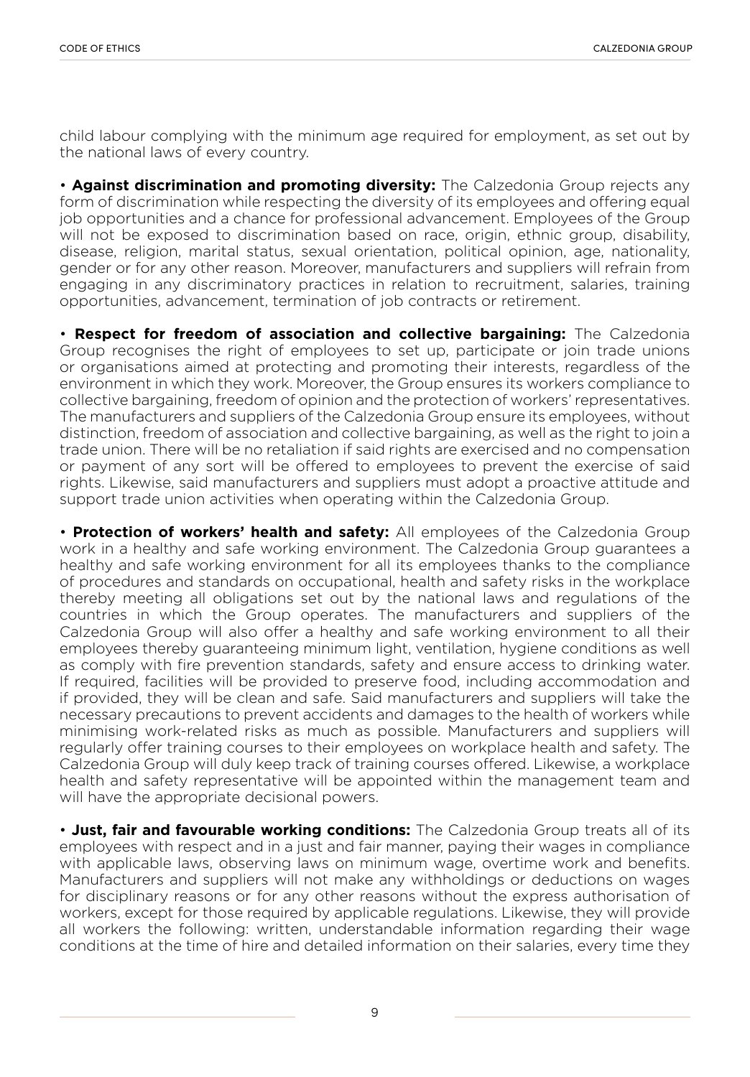child labour complying with the minimum age required for employment, as set out by the national laws of every country.

• **Against discrimination and promoting diversity:** The Calzedonia Group rejects any form of discrimination while respecting the diversity of its employees and offering equal job opportunities and a chance for professional advancement. Employees of the Group will not be exposed to discrimination based on race, origin, ethnic group, disability, disease, religion, marital status, sexual orientation, political opinion, age, nationality, gender or for any other reason. Moreover, manufacturers and suppliers will refrain from engaging in any discriminatory practices in relation to recruitment, salaries, training opportunities, advancement, termination of job contracts or retirement.

• **Respect for freedom of association and collective bargaining:** The Calzedonia Group recognises the right of employees to set up, participate or join trade unions or organisations aimed at protecting and promoting their interests, regardless of the environment in which they work. Moreover, the Group ensures its workers compliance to collective bargaining, freedom of opinion and the protection of workers' representatives. The manufacturers and suppliers of the Calzedonia Group ensure its employees, without distinction, freedom of association and collective bargaining, as well as the right to join a trade union. There will be no retaliation if said rights are exercised and no compensation or payment of any sort will be offered to employees to prevent the exercise of said rights. Likewise, said manufacturers and suppliers must adopt a proactive attitude and support trade union activities when operating within the Calzedonia Group.

• **Protection of workers' health and safety:** All employees of the Calzedonia Group work in a healthy and safe working environment. The Calzedonia Group guarantees a healthy and safe working environment for all its employees thanks to the compliance of procedures and standards on occupational, health and safety risks in the workplace thereby meeting all obligations set out by the national laws and regulations of the countries in which the Group operates. The manufacturers and suppliers of the Calzedonia Group will also offer a healthy and safe working environment to all their employees thereby guaranteeing minimum light, ventilation, hygiene conditions as well as comply with fire prevention standards, safety and ensure access to drinking water. If required, facilities will be provided to preserve food, including accommodation and if provided, they will be clean and safe. Said manufacturers and suppliers will take the necessary precautions to prevent accidents and damages to the health of workers while minimising work-related risks as much as possible. Manufacturers and suppliers will regularly offer training courses to their employees on workplace health and safety. The Calzedonia Group will duly keep track of training courses offered. Likewise, a workplace health and safety representative will be appointed within the management team and will have the appropriate decisional powers.

• **Just, fair and favourable working conditions:** The Calzedonia Group treats all of its employees with respect and in a just and fair manner, paying their wages in compliance with applicable laws, observing laws on minimum wage, overtime work and benefits. Manufacturers and suppliers will not make any withholdings or deductions on wages for disciplinary reasons or for any other reasons without the express authorisation of workers, except for those required by applicable regulations. Likewise, they will provide all workers the following: written, understandable information regarding their wage conditions at the time of hire and detailed information on their salaries, every time they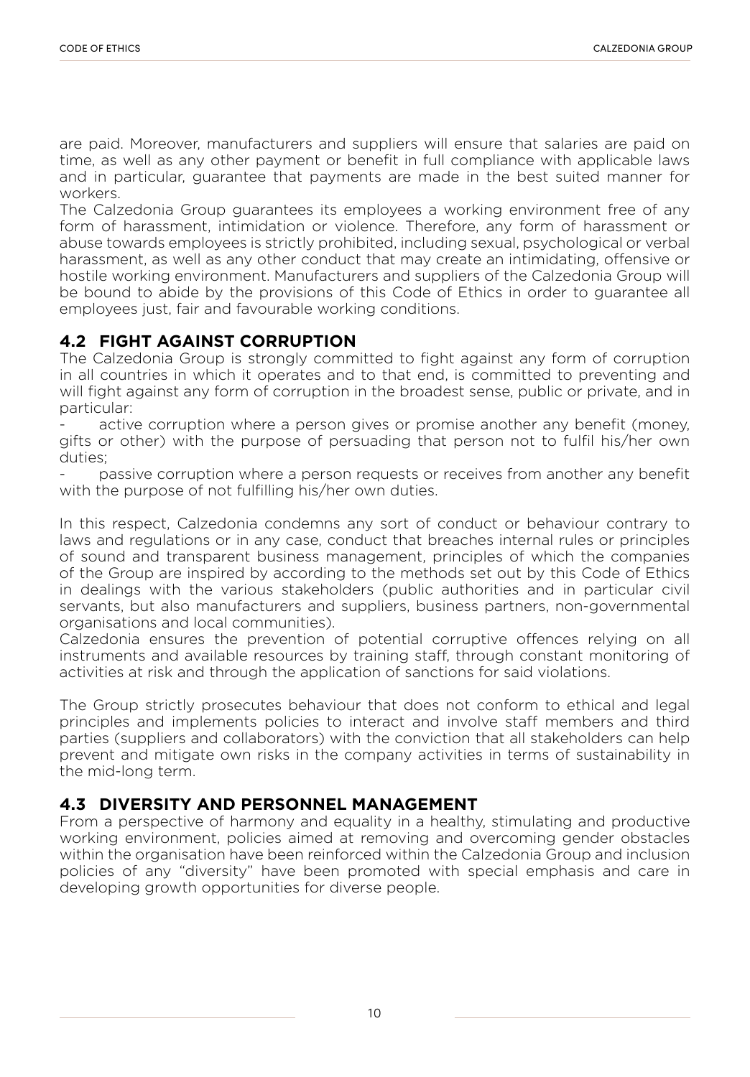are paid. Moreover, manufacturers and suppliers will ensure that salaries are paid on time, as well as any other payment or benefit in full compliance with applicable laws and in particular, guarantee that payments are made in the best suited manner for workers.

The Calzedonia Group guarantees its employees a working environment free of any form of harassment, intimidation or violence. Therefore, any form of harassment or abuse towards employees is strictly prohibited, including sexual, psychological or verbal harassment, as well as any other conduct that may create an intimidating, offensive or hostile working environment. Manufacturers and suppliers of the Calzedonia Group will be bound to abide by the provisions of this Code of Ethics in order to guarantee all employees just, fair and favourable working conditions.

#### **4.2 FIGHT AGAINST CORRUPTION**

The Calzedonia Group is strongly committed to fight against any form of corruption in all countries in which it operates and to that end, is committed to preventing and will fight against any form of corruption in the broadest sense, public or private, and in particular:

active corruption where a person gives or promise another any benefit (money, gifts or other) with the purpose of persuading that person not to fulfil his/her own duties;

passive corruption where a person requests or receives from another any benefit with the purpose of not fulfilling his/her own duties.

In this respect, Calzedonia condemns any sort of conduct or behaviour contrary to laws and regulations or in any case, conduct that breaches internal rules or principles of sound and transparent business management, principles of which the companies of the Group are inspired by according to the methods set out by this Code of Ethics in dealings with the various stakeholders (public authorities and in particular civil servants, but also manufacturers and suppliers, business partners, non-governmental organisations and local communities).

Calzedonia ensures the prevention of potential corruptive offences relying on all instruments and available resources by training staff, through constant monitoring of activities at risk and through the application of sanctions for said violations.

The Group strictly prosecutes behaviour that does not conform to ethical and legal principles and implements policies to interact and involve staff members and third parties (suppliers and collaborators) with the conviction that all stakeholders can help prevent and mitigate own risks in the company activities in terms of sustainability in the mid-long term.

#### **4.3 DIVERSITY AND PERSONNEL MANAGEMENT**

From a perspective of harmony and equality in a healthy, stimulating and productive working environment, policies aimed at removing and overcoming gender obstacles within the organisation have been reinforced within the Calzedonia Group and inclusion policies of any "diversity" have been promoted with special emphasis and care in developing growth opportunities for diverse people.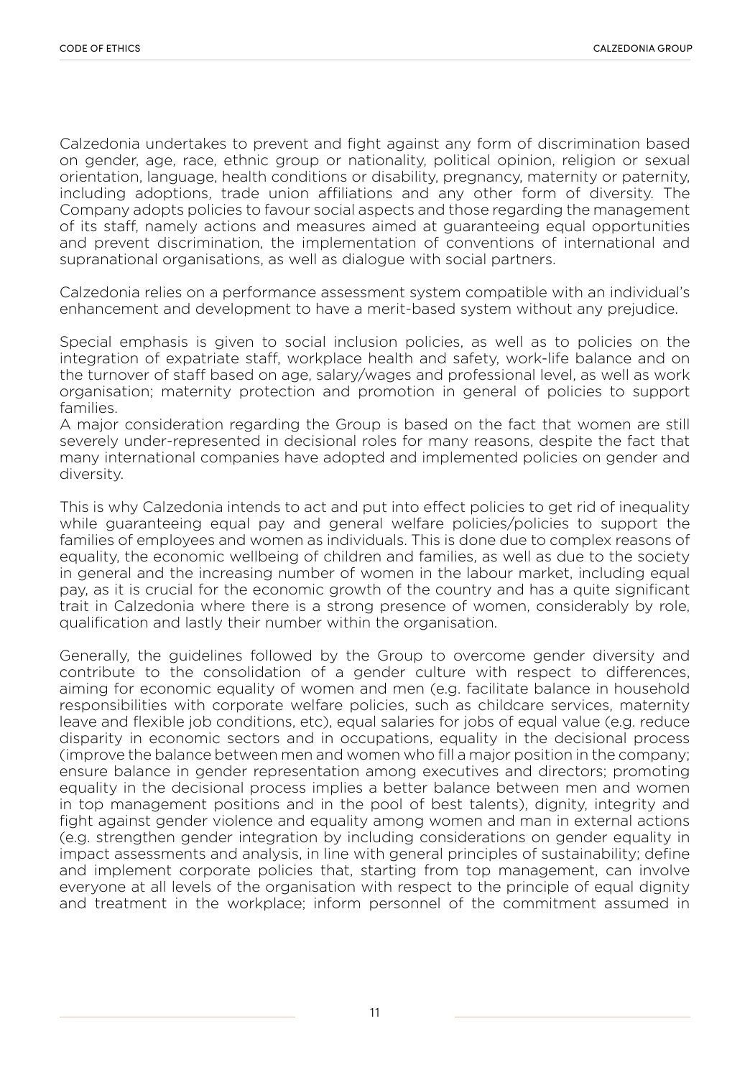Calzedonia undertakes to prevent and fight against any form of discrimination based on gender, age, race, ethnic group or nationality, political opinion, religion or sexual orientation, language, health conditions or disability, pregnancy, maternity or paternity, including adoptions, trade union affiliations and any other form of diversity. The Company adopts policies to favour social aspects and those regarding the management of its staff, namely actions and measures aimed at guaranteeing equal opportunities and prevent discrimination, the implementation of conventions of international and supranational organisations, as well as dialogue with social partners.

Calzedonia relies on a performance assessment system compatible with an individual's enhancement and development to have a merit-based system without any prejudice.

Special emphasis is given to social inclusion policies, as well as to policies on the integration of expatriate staff, workplace health and safety, work-life balance and on the turnover of staff based on age, salary/wages and professional level, as well as work organisation; maternity protection and promotion in general of policies to support families.

A major consideration regarding the Group is based on the fact that women are still severely under-represented in decisional roles for many reasons, despite the fact that many international companies have adopted and implemented policies on gender and diversity.

This is why Calzedonia intends to act and put into effect policies to get rid of inequality while guaranteeing equal pay and general welfare policies/policies to support the families of employees and women as individuals. This is done due to complex reasons of equality, the economic wellbeing of children and families, as well as due to the society in general and the increasing number of women in the labour market, including equal pay, as it is crucial for the economic growth of the country and has a quite significant trait in Calzedonia where there is a strong presence of women, considerably by role, qualification and lastly their number within the organisation.

Generally, the guidelines followed by the Group to overcome gender diversity and contribute to the consolidation of a gender culture with respect to differences, aiming for economic equality of women and men (e.g. facilitate balance in household responsibilities with corporate welfare policies, such as childcare services, maternity leave and flexible job conditions, etc), equal salaries for jobs of equal value (e.g. reduce disparity in economic sectors and in occupations, equality in the decisional process (improve the balance between men and women who fill a major position in the company; ensure balance in gender representation among executives and directors; promoting equality in the decisional process implies a better balance between men and women in top management positions and in the pool of best talents), dignity, integrity and fight against gender violence and equality among women and man in external actions (e.g. strengthen gender integration by including considerations on gender equality in impact assessments and analysis, in line with general principles of sustainability; define and implement corporate policies that, starting from top management, can involve everyone at all levels of the organisation with respect to the principle of equal dignity and treatment in the workplace; inform personnel of the commitment assumed in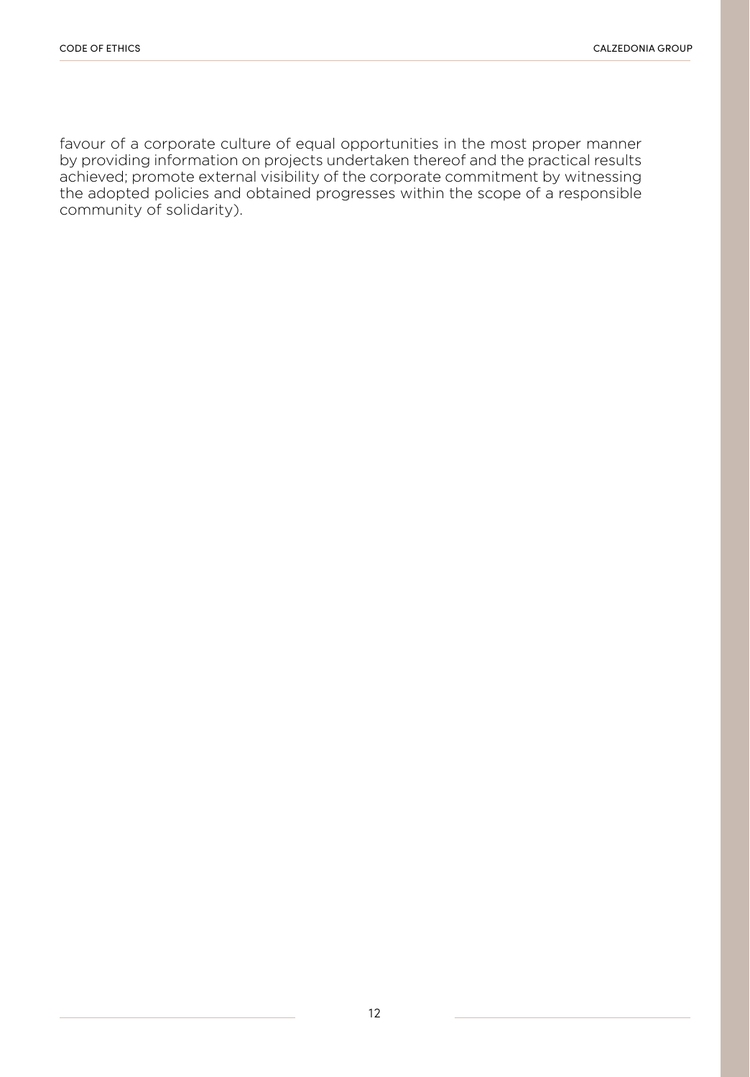favour of a corporate culture of equal opportunities in the most proper manner by providing information on projects undertaken thereof and the practical results achieved; promote external visibility of the corporate commitment by witnessing the adopted policies and obtained progresses within the scope of a responsible community of solidarity).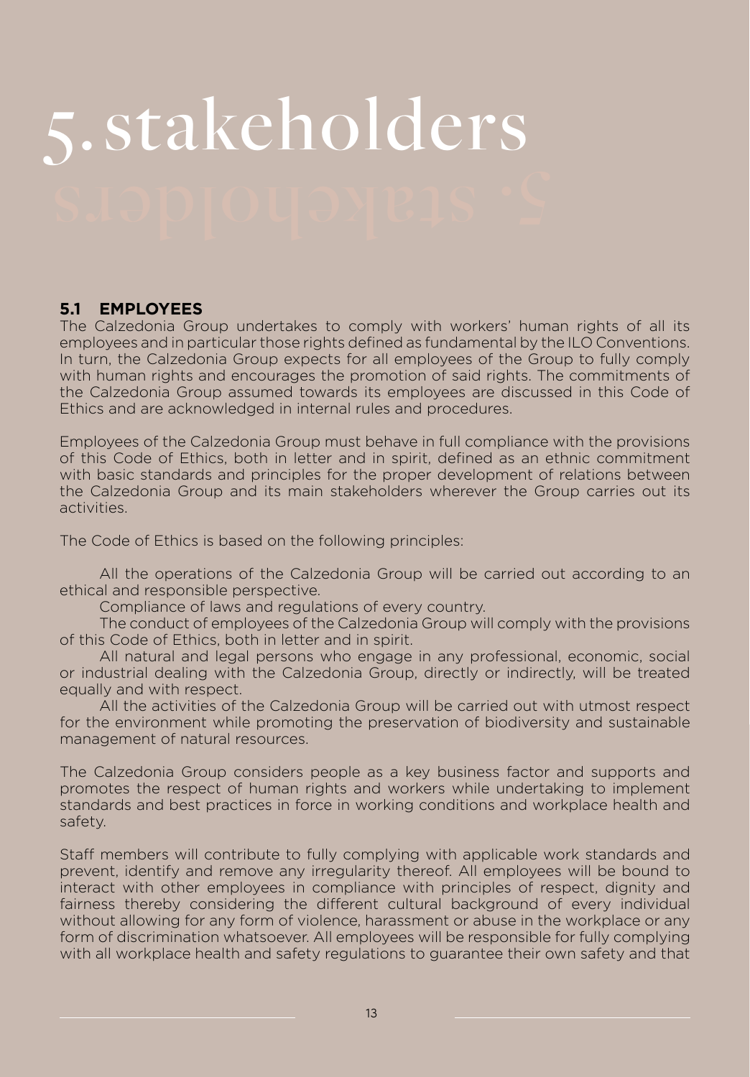# 5.stakeholders

#### **5.1 EMPLOYEES**

The Calzedonia Group undertakes to comply with workers' human rights of all its employees and in particular those rights defined as fundamental by the ILO Conventions. In turn, the Calzedonia Group expects for all employees of the Group to fully comply with human rights and encourages the promotion of said rights. The commitments of the Calzedonia Group assumed towards its employees are discussed in this Code of Ethics and are acknowledged in internal rules and procedures.

Employees of the Calzedonia Group must behave in full compliance with the provisions of this Code of Ethics, both in letter and in spirit, defined as an ethnic commitment with basic standards and principles for the proper development of relations between the Calzedonia Group and its main stakeholders wherever the Group carries out its activities.

The Code of Ethics is based on the following principles:

 All the operations of the Calzedonia Group will be carried out according to an ethical and responsible perspective.

 Compliance of laws and regulations of every country.

 The conduct of employees of the Calzedonia Group will comply with the provisions of this Code of Ethics, both in letter and in spirit.

 All natural and legal persons who engage in any professional, economic, social or industrial dealing with the Calzedonia Group, directly or indirectly, will be treated equally and with respect.

 All the activities of the Calzedonia Group will be carried out with utmost respect for the environment while promoting the preservation of biodiversity and sustainable management of natural resources.

The Calzedonia Group considers people as a key business factor and supports and promotes the respect of human rights and workers while undertaking to implement standards and best practices in force in working conditions and workplace health and safety.

Staff members will contribute to fully complying with applicable work standards and prevent, identify and remove any irregularity thereof. All employees will be bound to interact with other employees in compliance with principles of respect, dignity and fairness thereby considering the different cultural background of every individual without allowing for any form of violence, harassment or abuse in the workplace or any form of discrimination whatsoever. All employees will be responsible for fully complying with all workplace health and safety regulations to guarantee their own safety and that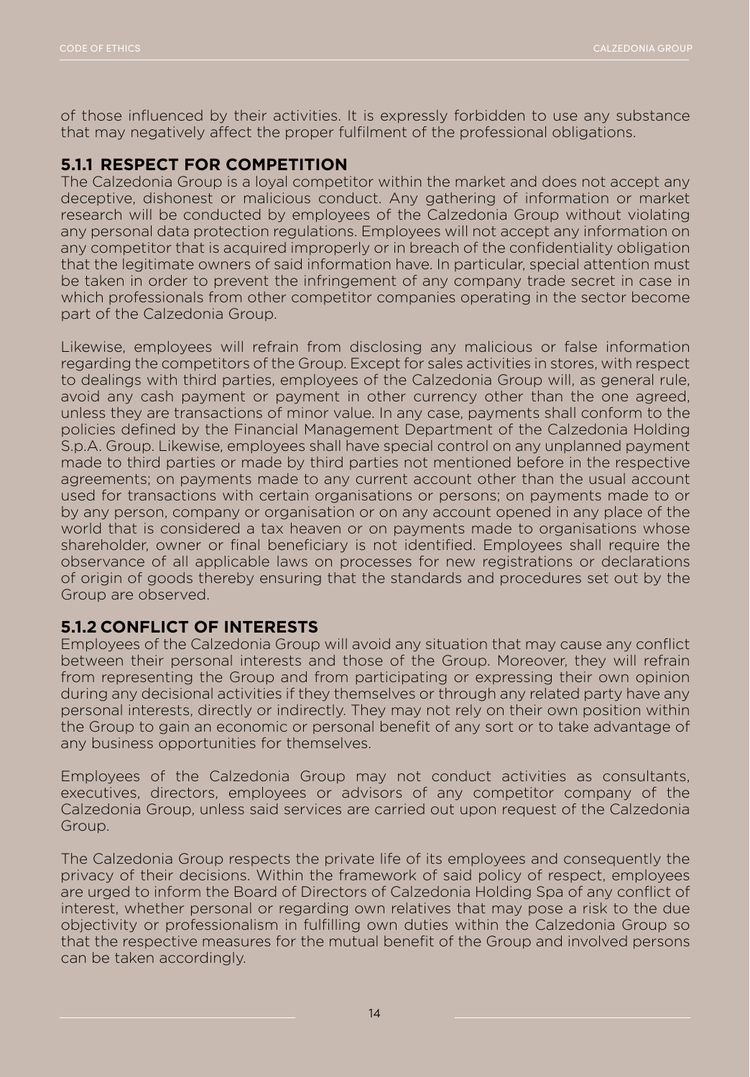of those influenced by their activities. It is expressly forbidden to use any substance that may negatively affect the proper fulfilment of the professional obligations.

#### **5.1.1 RESPECT FOR COMPETITION**

The Calzedonia Group is a loyal competitor within the market and does not accept any deceptive, dishonest or malicious conduct. Any gathering of information or market research will be conducted by employees of the Calzedonia Group without violating any personal data protection regulations. Employees will not accept any information on any competitor that is acquired improperly or in breach of the confidentiality obligation that the legitimate owners of said information have. In particular, special attention must be taken in order to prevent the infringement of any company trade secret in case in which professionals from other competitor companies operating in the sector become part of the Calzedonia Group.

Likewise, employees will refrain from disclosing any malicious or false information regarding the competitors of the Group. Except for sales activities in stores, with respect to dealings with third parties, employees of the Calzedonia Group will, as general rule, avoid any cash payment or payment in other currency other than the one agreed, unless they are transactions of minor value. In any case, payments shall conform to the policies defined by the Financial Management Department of the Calzedonia Holding S.p.A. Group. Likewise, employees shall have special control on any unplanned payment made to third parties or made by third parties not mentioned before in the respective agreements; on payments made to any current account other than the usual account used for transactions with certain organisations or persons; on payments made to or by any person, company or organisation or on any account opened in any place of the world that is considered a tax heaven or on payments made to organisations whose shareholder, owner or final beneficiary is not identified. Employees shall require the observance of all applicable laws on processes for new registrations or declarations of origin of goods thereby ensuring that the standards and procedures set out by the Group are observed.

#### **5.1.2 CONFLICT OF INTERESTS**

Employees of the Calzedonia Group will avoid any situation that may cause any conflict between their personal interests and those of the Group. Moreover, they will refrain from representing the Group and from participating or expressing their own opinion during any decisional activities if they themselves or through any related party have any personal interests, directly or indirectly. They may not rely on their own position within the Group to gain an economic or personal benefit of any sort or to take advantage of any business opportunities for themselves.

Employees of the Calzedonia Group may not conduct activities as consultants, executives, directors, employees or advisors of any competitor company of the Calzedonia Group, unless said services are carried out upon request of the Calzedonia Group.

The Calzedonia Group respects the private life of its employees and consequently the privacy of their decisions. Within the framework of said policy of respect, employees are urged to inform the Board of Directors of Calzedonia Holding Spa of any conflict of interest, whether personal or regarding own relatives that may pose a risk to the due objectivity or professionalism in fulfilling own duties within the Calzedonia Group so that the respective measures for the mutual benefit of the Group and involved persons can be taken accordingly.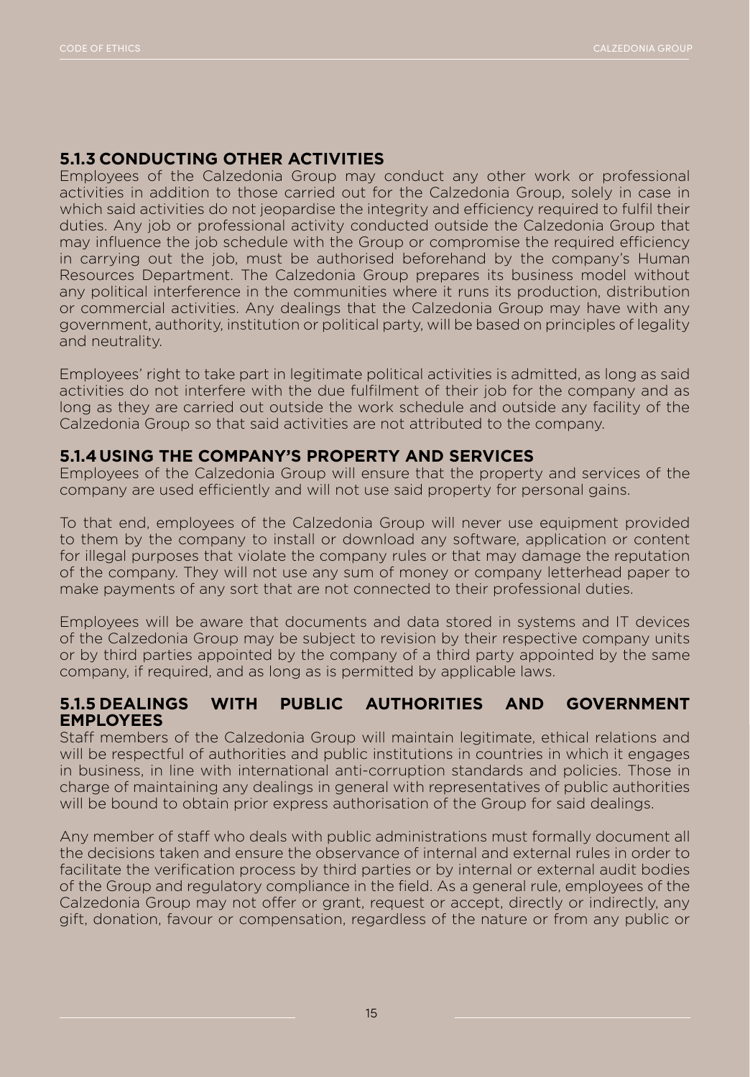#### **5.1.3 CONDUCTING OTHER ACTIVITIES**

Employees of the Calzedonia Group may conduct any other work or professional activities in addition to those carried out for the Calzedonia Group, solely in case in which said activities do not jeopardise the integrity and efficiency required to fulfil their duties. Any job or professional activity conducted outside the Calzedonia Group that may influence the job schedule with the Group or compromise the required efficiency in carrying out the job, must be authorised beforehand by the company's Human Resources Department. The Calzedonia Group prepares its business model without any political interference in the communities where it runs its production, distribution or commercial activities. Any dealings that the Calzedonia Group may have with any government, authority, institution or political party, will be based on principles of legality and neutrality.

Employees' right to take part in legitimate political activities is admitted, as long as said activities do not interfere with the due fulfilment of their job for the company and as long as they are carried out outside the work schedule and outside any facility of the Calzedonia Group so that said activities are not attributed to the company.

#### **5.1.4USING THE COMPANY'S PROPERTY AND SERVICES**

Employees of the Calzedonia Group will ensure that the property and services of the company are used efficiently and will not use said property for personal gains.

To that end, employees of the Calzedonia Group will never use equipment provided to them by the company to install or download any software, application or content for illegal purposes that violate the company rules or that may damage the reputation of the company. They will not use any sum of money or company letterhead paper to make payments of any sort that are not connected to their professional duties.

Employees will be aware that documents and data stored in systems and IT devices of the Calzedonia Group may be subject to revision by their respective company units or by third parties appointed by the company of a third party appointed by the same company, if required, and as long as is permitted by applicable laws.

#### **5.1.5 DEALINGS WITH PUBLIC AUTHORITIES AND GOVERNMENT EMPLOYEES**

Staff members of the Calzedonia Group will maintain legitimate, ethical relations and will be respectful of authorities and public institutions in countries in which it engages in business, in line with international anti-corruption standards and policies. Those in charge of maintaining any dealings in general with representatives of public authorities will be bound to obtain prior express authorisation of the Group for said dealings.

Any member of staff who deals with public administrations must formally document all the decisions taken and ensure the observance of internal and external rules in order to facilitate the verification process by third parties or by internal or external audit bodies of the Group and regulatory compliance in the field. As a general rule, employees of the Calzedonia Group may not offer or grant, request or accept, directly or indirectly, any gift, donation, favour or compensation, regardless of the nature or from any public or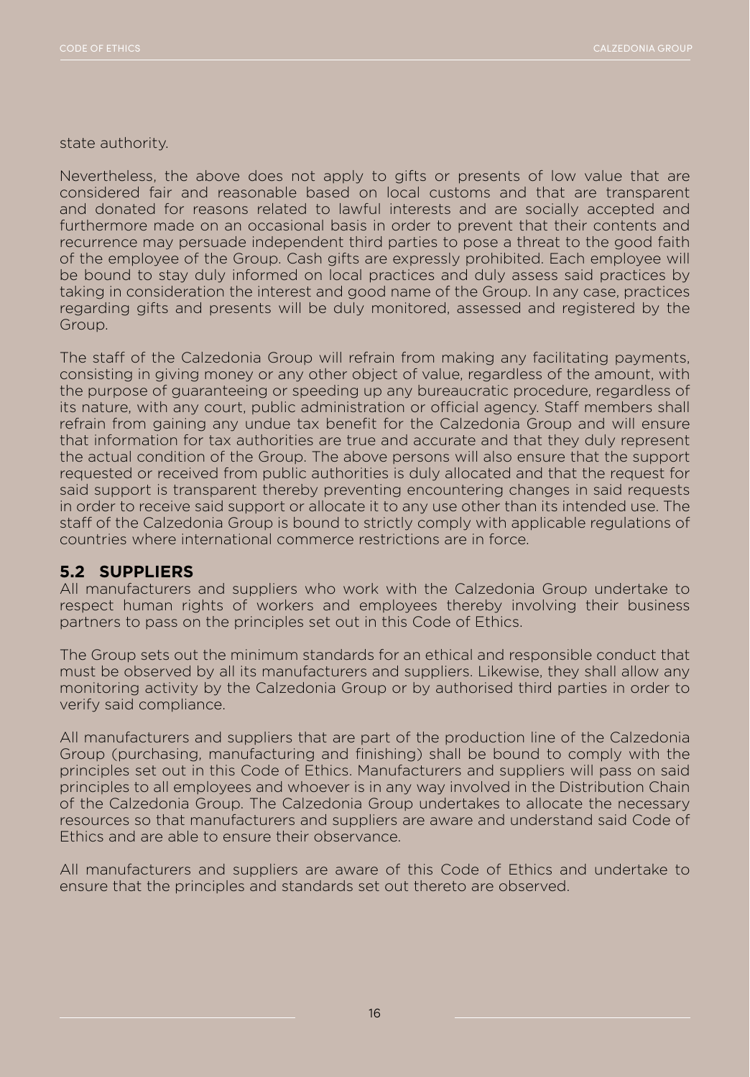state authority.

Nevertheless, the above does not apply to gifts or presents of low value that are considered fair and reasonable based on local customs and that are transparent and donated for reasons related to lawful interests and are socially accepted and furthermore made on an occasional basis in order to prevent that their contents and recurrence may persuade independent third parties to pose a threat to the good faith of the employee of the Group. Cash gifts are expressly prohibited. Each employee will be bound to stay duly informed on local practices and duly assess said practices by taking in consideration the interest and good name of the Group. In any case, practices regarding gifts and presents will be duly monitored, assessed and registered by the Group.

The staff of the Calzedonia Group will refrain from making any facilitating payments, consisting in giving money or any other object of value, regardless of the amount, with the purpose of guaranteeing or speeding up any bureaucratic procedure, regardless of its nature, with any court, public administration or official agency. Staff members shall refrain from gaining any undue tax benefit for the Calzedonia Group and will ensure that information for tax authorities are true and accurate and that they duly represent the actual condition of the Group. The above persons will also ensure that the support requested or received from public authorities is duly allocated and that the request for said support is transparent thereby preventing encountering changes in said requests in order to receive said support or allocate it to any use other than its intended use. The staff of the Calzedonia Group is bound to strictly comply with applicable regulations of countries where international commerce restrictions are in force.

#### **5.2 SUPPLIERS**

All manufacturers and suppliers who work with the Calzedonia Group undertake to respect human rights of workers and employees thereby involving their business partners to pass on the principles set out in this Code of Ethics.

The Group sets out the minimum standards for an ethical and responsible conduct that must be observed by all its manufacturers and suppliers. Likewise, they shall allow any monitoring activity by the Calzedonia Group or by authorised third parties in order to verify said compliance.

All manufacturers and suppliers that are part of the production line of the Calzedonia Group (purchasing, manufacturing and finishing) shall be bound to comply with the principles set out in this Code of Ethics. Manufacturers and suppliers will pass on said principles to all employees and whoever is in any way involved in the Distribution Chain of the Calzedonia Group. The Calzedonia Group undertakes to allocate the necessary resources so that manufacturers and suppliers are aware and understand said Code of Ethics and are able to ensure their observance.

All manufacturers and suppliers are aware of this Code of Ethics and undertake to ensure that the principles and standards set out thereto are observed.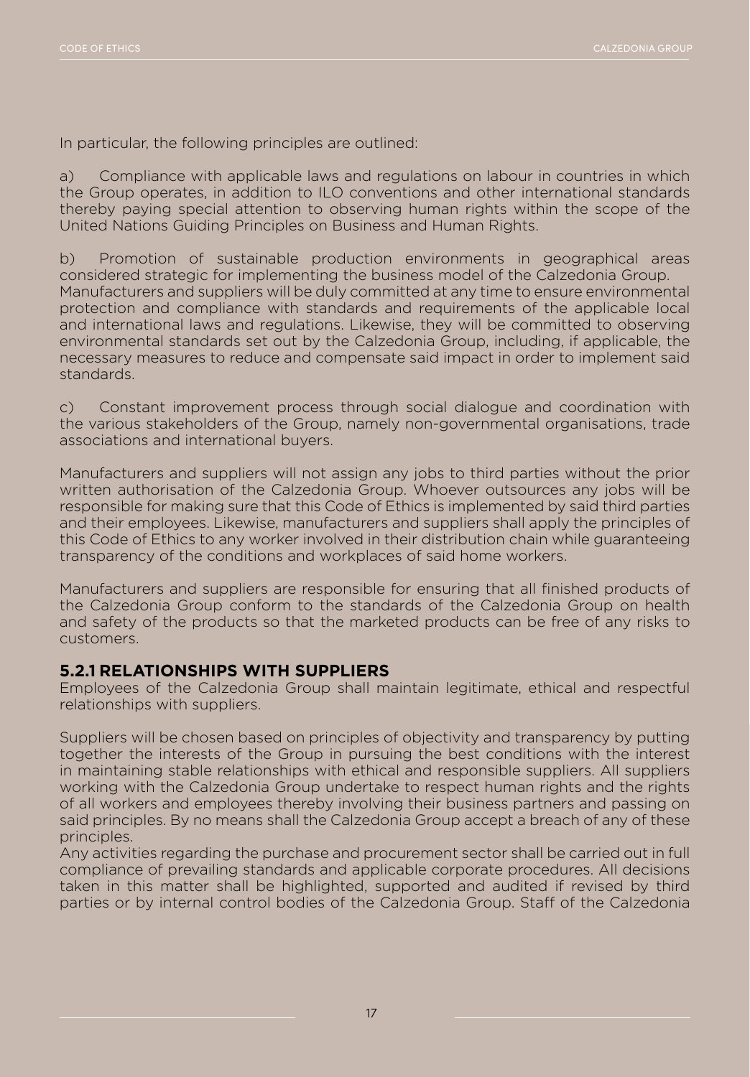In particular, the following principles are outlined:

a) Compliance with applicable laws and regulations on labour in countries in which the Group operates, in addition to ILO conventions and other international standards thereby paying special attention to observing human rights within the scope of the United Nations Guiding Principles on Business and Human Rights.

b) Promotion of sustainable production environments in geographical areas considered strategic for implementing the business model of the Calzedonia Group. Manufacturers and suppliers will be duly committed at any time to ensure environmental protection and compliance with standards and requirements of the applicable local and international laws and regulations. Likewise, they will be committed to observing environmental standards set out by the Calzedonia Group, including, if applicable, the necessary measures to reduce and compensate said impact in order to implement said standards.

c) Constant improvement process through social dialogue and coordination with the various stakeholders of the Group, namely non-governmental organisations, trade associations and international buyers.

Manufacturers and suppliers will not assign any jobs to third parties without the prior written authorisation of the Calzedonia Group. Whoever outsources any jobs will be responsible for making sure that this Code of Ethics is implemented by said third parties and their employees. Likewise, manufacturers and suppliers shall apply the principles of this Code of Ethics to any worker involved in their distribution chain while guaranteeing transparency of the conditions and workplaces of said home workers.

Manufacturers and suppliers are responsible for ensuring that all finished products of the Calzedonia Group conform to the standards of the Calzedonia Group on health and safety of the products so that the marketed products can be free of any risks to customers.

#### **5.2.1 RELATIONSHIPS WITH SUPPLIERS**

Employees of the Calzedonia Group shall maintain legitimate, ethical and respectful relationships with suppliers.

Suppliers will be chosen based on principles of objectivity and transparency by putting together the interests of the Group in pursuing the best conditions with the interest in maintaining stable relationships with ethical and responsible suppliers. All suppliers working with the Calzedonia Group undertake to respect human rights and the rights of all workers and employees thereby involving their business partners and passing on said principles. By no means shall the Calzedonia Group accept a breach of any of these principles.

Any activities regarding the purchase and procurement sector shall be carried out in full compliance of prevailing standards and applicable corporate procedures. All decisions taken in this matter shall be highlighted, supported and audited if revised by third parties or by internal control bodies of the Calzedonia Group. Staff of the Calzedonia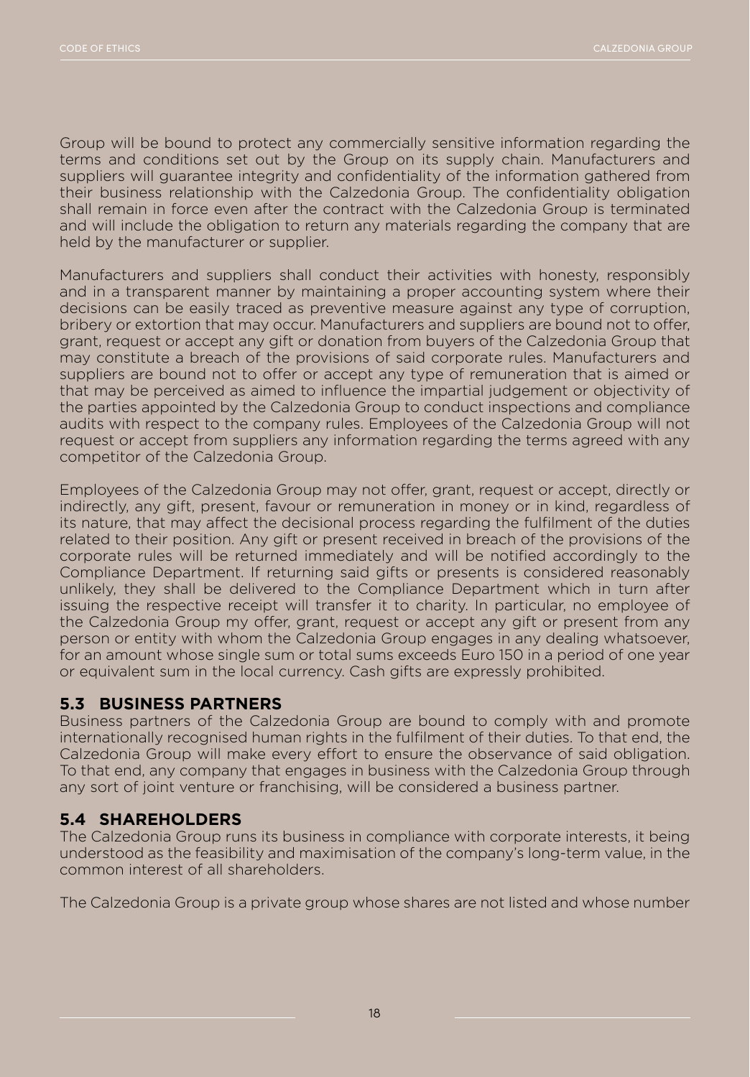Group will be bound to protect any commercially sensitive information regarding the terms and conditions set out by the Group on its supply chain. Manufacturers and suppliers will guarantee integrity and confidentiality of the information gathered from their business relationship with the Calzedonia Group. The confidentiality obligation shall remain in force even after the contract with the Calzedonia Group is terminated and will include the obligation to return any materials regarding the company that are held by the manufacturer or supplier.

Manufacturers and suppliers shall conduct their activities with honesty, responsibly and in a transparent manner by maintaining a proper accounting system where their decisions can be easily traced as preventive measure against any type of corruption, bribery or extortion that may occur. Manufacturers and suppliers are bound not to offer, grant, request or accept any gift or donation from buyers of the Calzedonia Group that may constitute a breach of the provisions of said corporate rules. Manufacturers and suppliers are bound not to offer or accept any type of remuneration that is aimed or that may be perceived as aimed to influence the impartial judgement or objectivity of the parties appointed by the Calzedonia Group to conduct inspections and compliance audits with respect to the company rules. Employees of the Calzedonia Group will not request or accept from suppliers any information regarding the terms agreed with any competitor of the Calzedonia Group.

Employees of the Calzedonia Group may not offer, grant, request or accept, directly or indirectly, any gift, present, favour or remuneration in money or in kind, regardless of its nature, that may affect the decisional process regarding the fulfilment of the duties related to their position. Any gift or present received in breach of the provisions of the corporate rules will be returned immediately and will be notified accordingly to the Compliance Department. If returning said gifts or presents is considered reasonably unlikely, they shall be delivered to the Compliance Department which in turn after issuing the respective receipt will transfer it to charity. In particular, no employee of the Calzedonia Group my offer, grant, request or accept any gift or present from any person or entity with whom the Calzedonia Group engages in any dealing whatsoever, for an amount whose single sum or total sums exceeds Euro 150 in a period of one year or equivalent sum in the local currency. Cash gifts are expressly prohibited.

#### **5.3 BUSINESS PARTNERS**

Business partners of the Calzedonia Group are bound to comply with and promote internationally recognised human rights in the fulfilment of their duties. To that end, the Calzedonia Group will make every effort to ensure the observance of said obligation. To that end, any company that engages in business with the Calzedonia Group through any sort of joint venture or franchising, will be considered a business partner.

#### **5.4 SHAREHOLDERS**

The Calzedonia Group runs its business in compliance with corporate interests, it being understood as the feasibility and maximisation of the company's long-term value, in the common interest of all shareholders.

The Calzedonia Group is a private group whose shares are not listed and whose number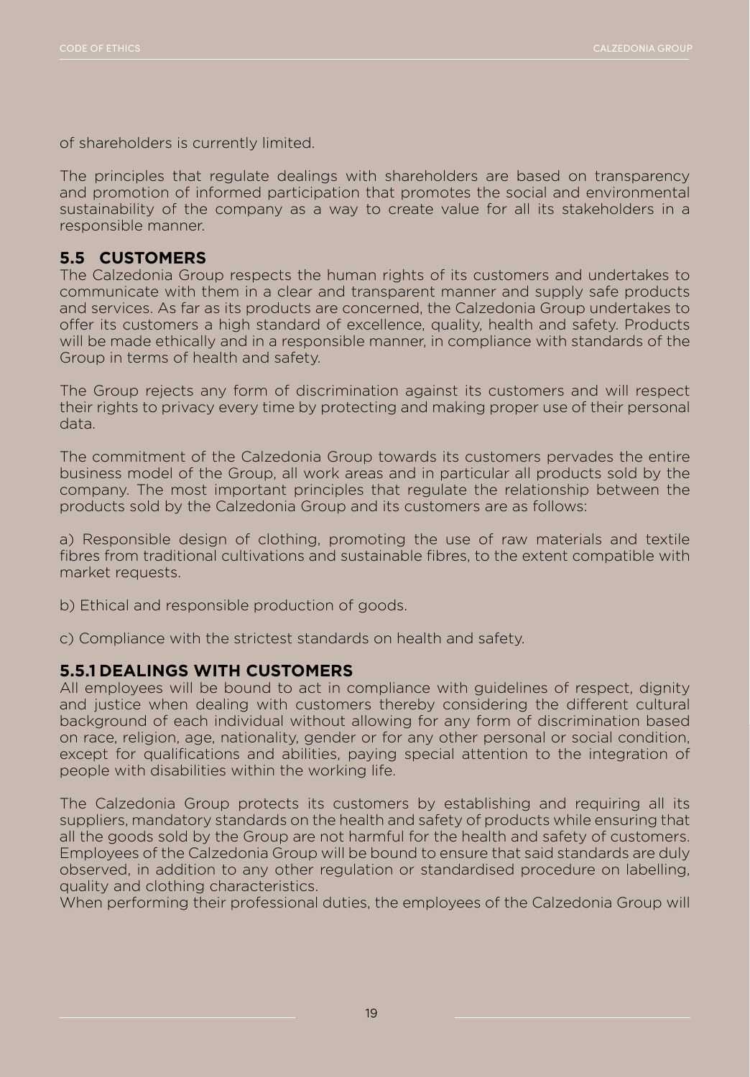of shareholders is currently limited.

The principles that regulate dealings with shareholders are based on transparency and promotion of informed participation that promotes the social and environmental sustainability of the company as a way to create value for all its stakeholders in a responsible manner.

#### **5.5 CUSTOMERS**

The Calzedonia Group respects the human rights of its customers and undertakes to communicate with them in a clear and transparent manner and supply safe products and services. As far as its products are concerned, the Calzedonia Group undertakes to offer its customers a high standard of excellence, quality, health and safety. Products will be made ethically and in a responsible manner, in compliance with standards of the Group in terms of health and safety.

The Group rejects any form of discrimination against its customers and will respect their rights to privacy every time by protecting and making proper use of their personal data.

The commitment of the Calzedonia Group towards its customers pervades the entire business model of the Group, all work areas and in particular all products sold by the company. The most important principles that regulate the relationship between the products sold by the Calzedonia Group and its customers are as follows:

a) Responsible design of clothing, promoting the use of raw materials and textile fibres from traditional cultivations and sustainable fibres, to the extent compatible with market requests.

b) Ethical and responsible production of goods.

c) Compliance with the strictest standards on health and safety.

#### **5.5.1 DEALINGS WITH CUSTOMERS**

All employees will be bound to act in compliance with guidelines of respect, dignity and justice when dealing with customers thereby considering the different cultural background of each individual without allowing for any form of discrimination based on race, religion, age, nationality, gender or for any other personal or social condition, except for qualifications and abilities, paying special attention to the integration of people with disabilities within the working life.

The Calzedonia Group protects its customers by establishing and requiring all its suppliers, mandatory standards on the health and safety of products while ensuring that all the goods sold by the Group are not harmful for the health and safety of customers. Employees of the Calzedonia Group will be bound to ensure that said standards are duly observed, in addition to any other regulation or standardised procedure on labelling, quality and clothing characteristics.

When performing their professional duties, the employees of the Calzedonia Group will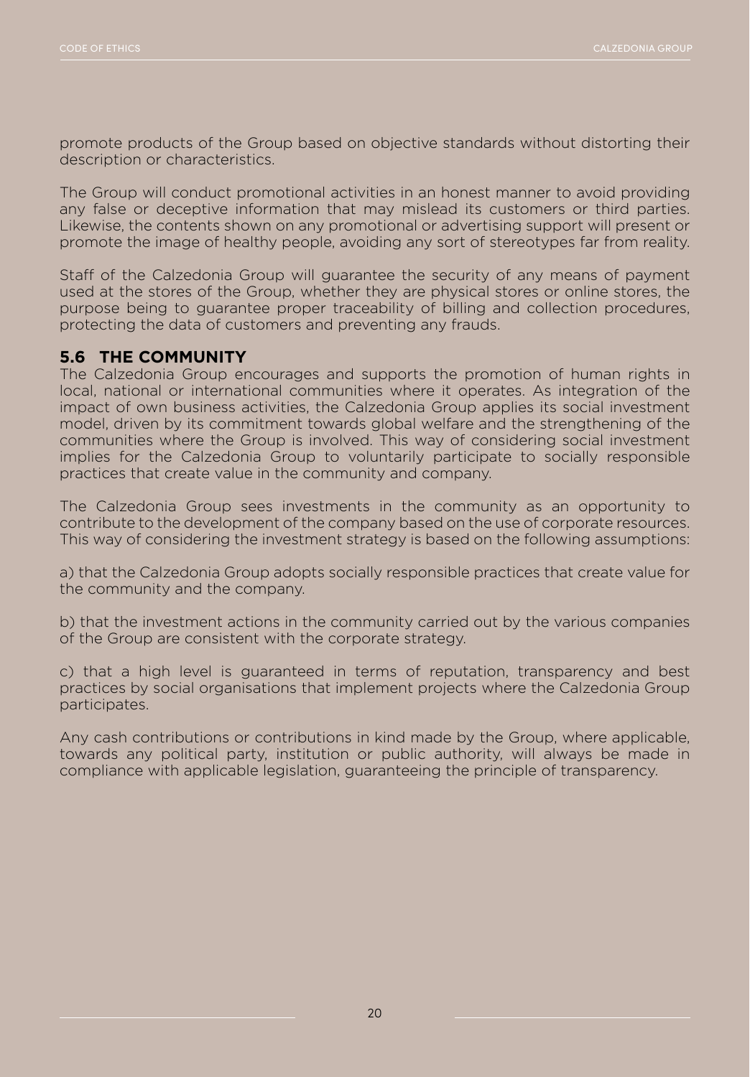promote products of the Group based on objective standards without distorting their description or characteristics.

The Group will conduct promotional activities in an honest manner to avoid providing any false or deceptive information that may mislead its customers or third parties. Likewise, the contents shown on any promotional or advertising support will present or promote the image of healthy people, avoiding any sort of stereotypes far from reality.

Staff of the Calzedonia Group will guarantee the security of any means of payment used at the stores of the Group, whether they are physical stores or online stores, the purpose being to guarantee proper traceability of billing and collection procedures, protecting the data of customers and preventing any frauds.

#### **5.6 THE COMMUNITY**

The Calzedonia Group encourages and supports the promotion of human rights in local, national or international communities where it operates. As integration of the impact of own business activities, the Calzedonia Group applies its social investment model, driven by its commitment towards global welfare and the strengthening of the communities where the Group is involved. This way of considering social investment implies for the Calzedonia Group to voluntarily participate to socially responsible practices that create value in the community and company.

The Calzedonia Group sees investments in the community as an opportunity to contribute to the development of the company based on the use of corporate resources. This way of considering the investment strategy is based on the following assumptions:

a) that the Calzedonia Group adopts socially responsible practices that create value for the community and the company.

b) that the investment actions in the community carried out by the various companies of the Group are consistent with the corporate strategy.

c) that a high level is guaranteed in terms of reputation, transparency and best practices by social organisations that implement projects where the Calzedonia Group participates.

Any cash contributions or contributions in kind made by the Group, where applicable, towards any political party, institution or public authority, will always be made in compliance with applicable legislation, guaranteeing the principle of transparency.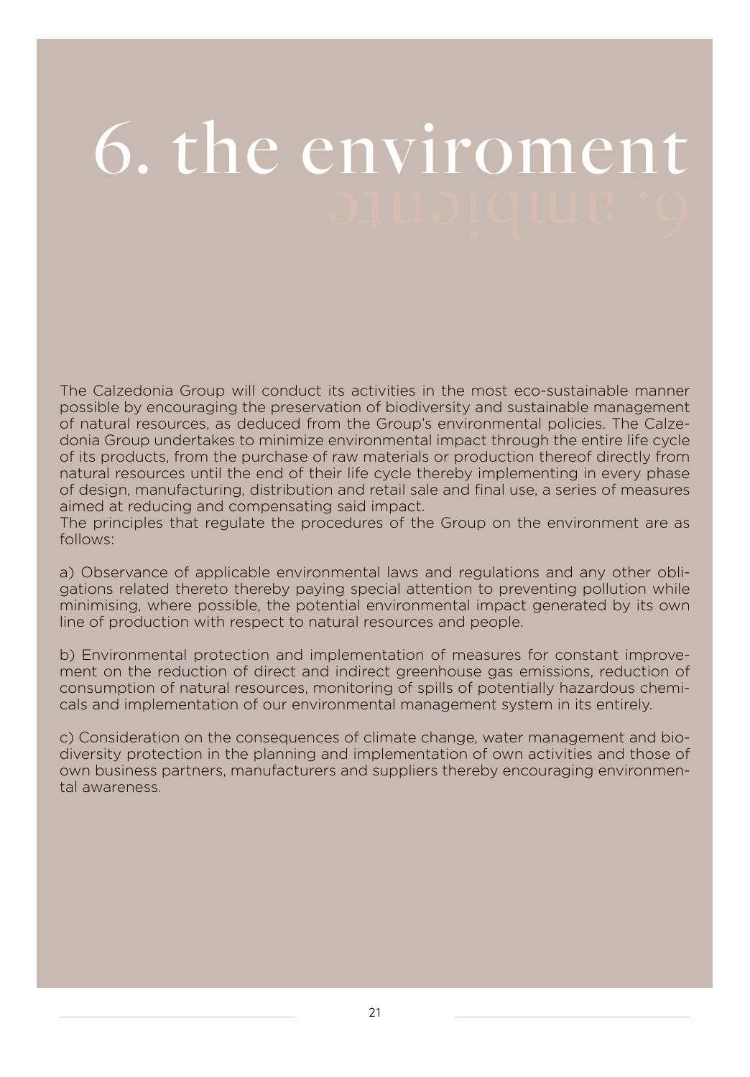## 6. the enviroment

The Calzedonia Group will conduct its activities in the most eco-sustainable manner possible by encouraging the preservation of biodiversity and sustainable management of natural resources, as deduced from the Group's environmental policies. The Calzedonia Group undertakes to minimize environmental impact through the entire life cycle of its products, from the purchase of raw materials or production thereof directly from natural resources until the end of their life cycle thereby implementing in every phase of design, manufacturing, distribution and retail sale and final use, a series of measures aimed at reducing and compensating said impact.

The principles that regulate the procedures of the Group on the environment are as follows:

a) Observance of applicable environmental laws and regulations and any other obligations related thereto thereby paying special attention to preventing pollution while minimising, where possible, the potential environmental impact generated by its own line of production with respect to natural resources and people.

b) Environmental protection and implementation of measures for constant improvement on the reduction of direct and indirect greenhouse gas emissions, reduction of consumption of natural resources, monitoring of spills of potentially hazardous chemicals and implementation of our environmental management system in its entirely.

c) Consideration on the consequences of climate change, water management and biodiversity protection in the planning and implementation of own activities and those of own business partners, manufacturers and suppliers thereby encouraging environmental awareness.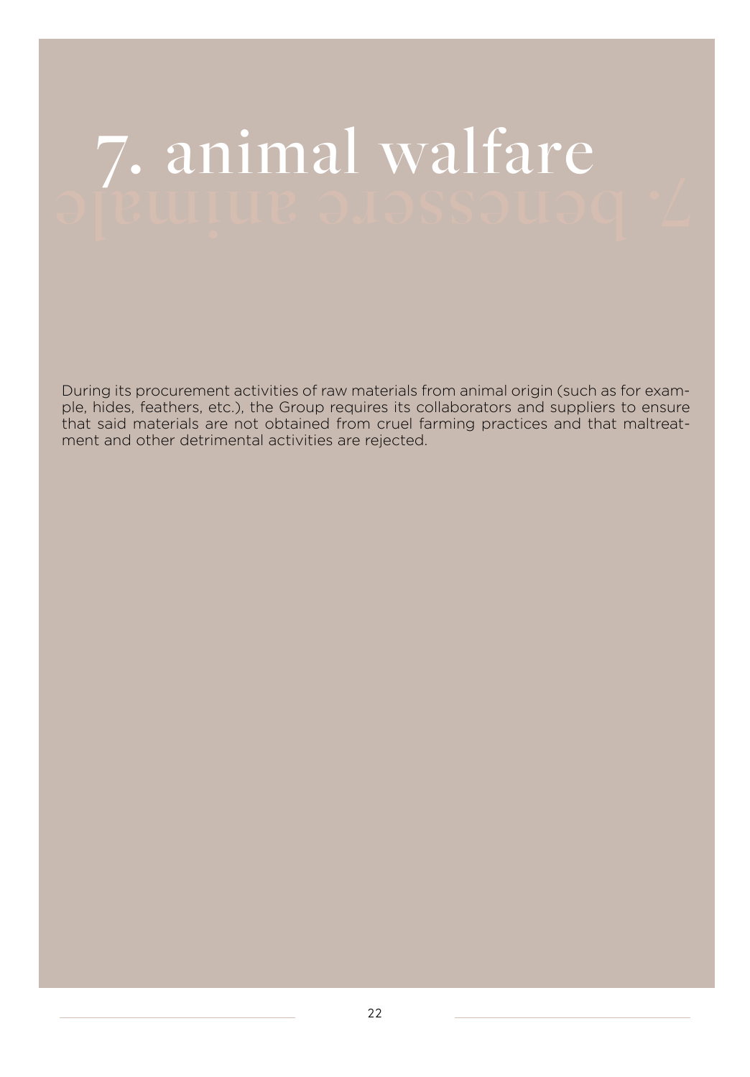## 7. animal walfare

During its procurement activities of raw materials from animal origin (such as for example, hides, feathers, etc.), the Group requires its collaborators and suppliers to ensure that said materials are not obtained from cruel farming practices and that maltreatment and other detrimental activities are rejected.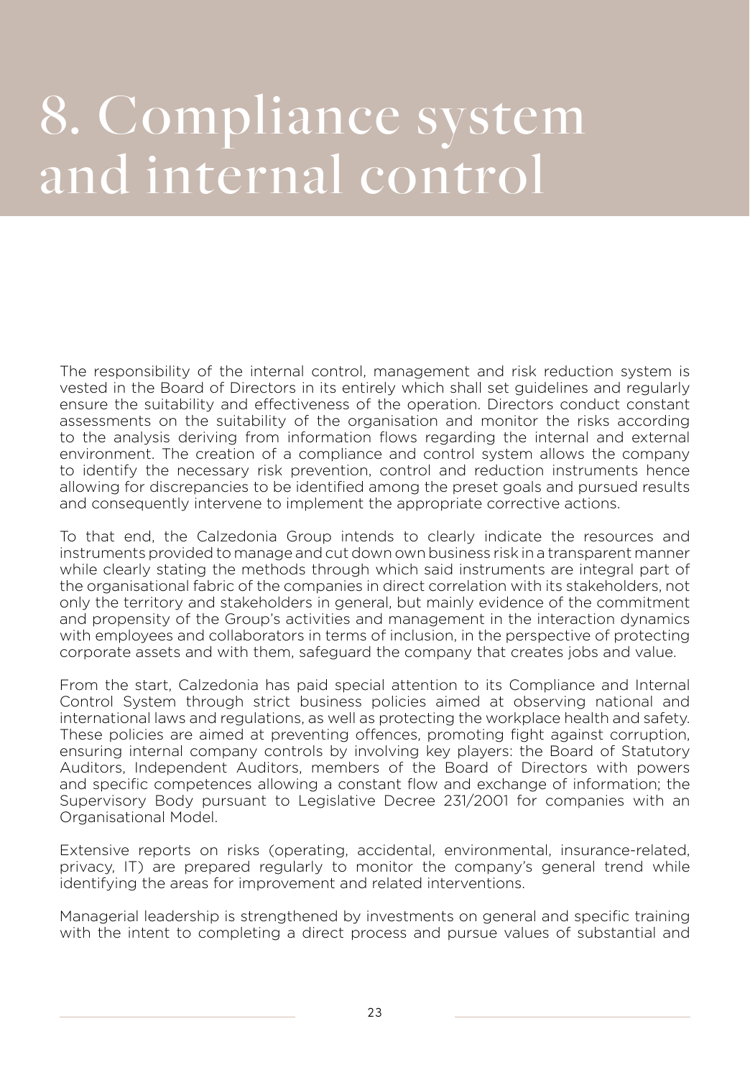## 8. Compliance system and internal control

The responsibility of the internal control, management and risk reduction system is vested in the Board of Directors in its entirely which shall set guidelines and regularly ensure the suitability and effectiveness of the operation. Directors conduct constant assessments on the suitability of the organisation and monitor the risks according to the analysis deriving from information flows regarding the internal and external environment. The creation of a compliance and control system allows the company to identify the necessary risk prevention, control and reduction instruments hence allowing for discrepancies to be identified among the preset goals and pursued results and consequently intervene to implement the appropriate corrective actions.

To that end, the Calzedonia Group intends to clearly indicate the resources and instruments provided to manage and cut down own business risk in a transparent manner while clearly stating the methods through which said instruments are integral part of the organisational fabric of the companies in direct correlation with its stakeholders, not only the territory and stakeholders in general, but mainly evidence of the commitment and propensity of the Group's activities and management in the interaction dynamics with employees and collaborators in terms of inclusion, in the perspective of protecting corporate assets and with them, safeguard the company that creates jobs and value.

From the start, Calzedonia has paid special attention to its Compliance and Internal Control System through strict business policies aimed at observing national and international laws and regulations, as well as protecting the workplace health and safety. These policies are aimed at preventing offences, promoting fight against corruption, ensuring internal company controls by involving key players: the Board of Statutory Auditors, Independent Auditors, members of the Board of Directors with powers and specific competences allowing a constant flow and exchange of information; the Supervisory Body pursuant to Legislative Decree 231/2001 for companies with an Organisational Model.

Extensive reports on risks (operating, accidental, environmental, insurance-related, privacy, IT) are prepared regularly to monitor the company's general trend while identifying the areas for improvement and related interventions.

Managerial leadership is strengthened by investments on general and specific training with the intent to completing a direct process and pursue values of substantial and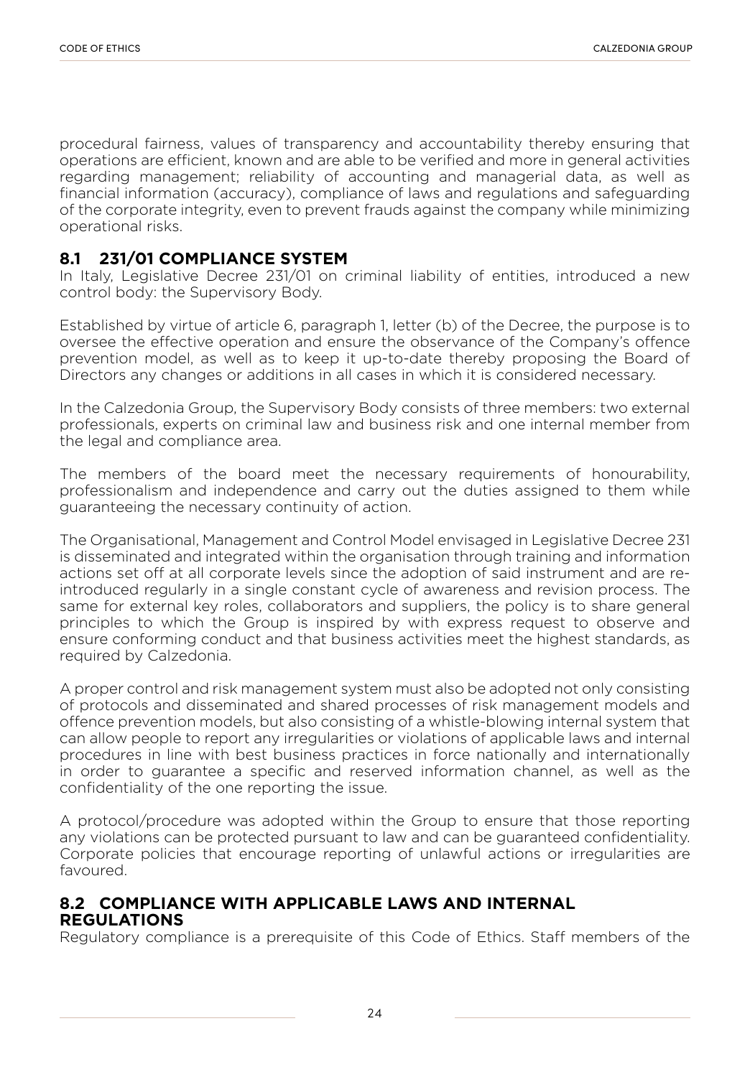procedural fairness, values of transparency and accountability thereby ensuring that operations are efficient, known and are able to be verified and more in general activities regarding management; reliability of accounting and managerial data, as well as financial information (accuracy), compliance of laws and regulations and safeguarding of the corporate integrity, even to prevent frauds against the company while minimizing operational risks.

#### **8.1 231/01 COMPLIANCE SYSTEM**

In Italy, Legislative Decree 231/01 on criminal liability of entities, introduced a new control body: the Supervisory Body.

Established by virtue of article 6, paragraph 1, letter (b) of the Decree, the purpose is to oversee the effective operation and ensure the observance of the Company's offence prevention model, as well as to keep it up-to-date thereby proposing the Board of Directors any changes or additions in all cases in which it is considered necessary.

In the Calzedonia Group, the Supervisory Body consists of three members: two external professionals, experts on criminal law and business risk and one internal member from the legal and compliance area.

The members of the board meet the necessary requirements of honourability, professionalism and independence and carry out the duties assigned to them while guaranteeing the necessary continuity of action.

The Organisational, Management and Control Model envisaged in Legislative Decree 231 is disseminated and integrated within the organisation through training and information actions set off at all corporate levels since the adoption of said instrument and are reintroduced regularly in a single constant cycle of awareness and revision process. The same for external key roles, collaborators and suppliers, the policy is to share general principles to which the Group is inspired by with express request to observe and ensure conforming conduct and that business activities meet the highest standards, as required by Calzedonia.

A proper control and risk management system must also be adopted not only consisting of protocols and disseminated and shared processes of risk management models and offence prevention models, but also consisting of a whistle-blowing internal system that can allow people to report any irregularities or violations of applicable laws and internal procedures in line with best business practices in force nationally and internationally in order to guarantee a specific and reserved information channel, as well as the confidentiality of the one reporting the issue.

A protocol/procedure was adopted within the Group to ensure that those reporting any violations can be protected pursuant to law and can be guaranteed confidentiality. Corporate policies that encourage reporting of unlawful actions or irregularities are favoured.

#### **8.2 COMPLIANCE WITH APPLICABLE LAWS AND INTERNAL REGULATIONS**

Regulatory compliance is a prerequisite of this Code of Ethics. Staff members of the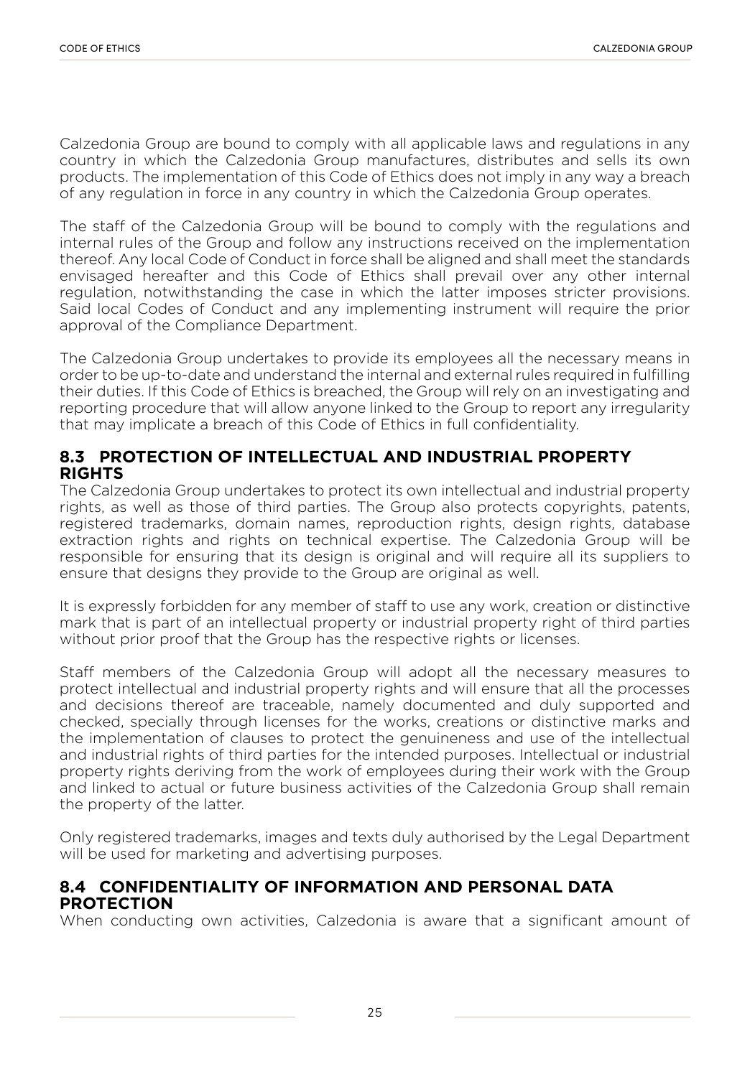Calzedonia Group are bound to comply with all applicable laws and regulations in any country in which the Calzedonia Group manufactures, distributes and sells its own products. The implementation of this Code of Ethics does not imply in any way a breach of any regulation in force in any country in which the Calzedonia Group operates.

The staff of the Calzedonia Group will be bound to comply with the regulations and internal rules of the Group and follow any instructions received on the implementation thereof. Any local Code of Conduct in force shall be aligned and shall meet the standards envisaged hereafter and this Code of Ethics shall prevail over any other internal regulation, notwithstanding the case in which the latter imposes stricter provisions. Said local Codes of Conduct and any implementing instrument will require the prior approval of the Compliance Department.

The Calzedonia Group undertakes to provide its employees all the necessary means in order to be up-to-date and understand the internal and external rules required in fulfilling their duties. If this Code of Ethics is breached, the Group will rely on an investigating and reporting procedure that will allow anyone linked to the Group to report any irregularity that may implicate a breach of this Code of Ethics in full confidentiality.

#### **8.3 PROTECTION OF INTELLECTUAL AND INDUSTRIAL PROPERTY RIGHTS**

The Calzedonia Group undertakes to protect its own intellectual and industrial property rights, as well as those of third parties. The Group also protects copyrights, patents, registered trademarks, domain names, reproduction rights, design rights, database extraction rights and rights on technical expertise. The Calzedonia Group will be responsible for ensuring that its design is original and will require all its suppliers to ensure that designs they provide to the Group are original as well.

It is expressly forbidden for any member of staff to use any work, creation or distinctive mark that is part of an intellectual property or industrial property right of third parties without prior proof that the Group has the respective rights or licenses.

Staff members of the Calzedonia Group will adopt all the necessary measures to protect intellectual and industrial property rights and will ensure that all the processes and decisions thereof are traceable, namely documented and duly supported and checked, specially through licenses for the works, creations or distinctive marks and the implementation of clauses to protect the genuineness and use of the intellectual and industrial rights of third parties for the intended purposes. Intellectual or industrial property rights deriving from the work of employees during their work with the Group and linked to actual or future business activities of the Calzedonia Group shall remain the property of the latter.

Only registered trademarks, images and texts duly authorised by the Legal Department will be used for marketing and advertising purposes.

#### **8.4 CONFIDENTIALITY OF INFORMATION AND PERSONAL DATA PROTECTION**

When conducting own activities, Calzedonia is aware that a significant amount of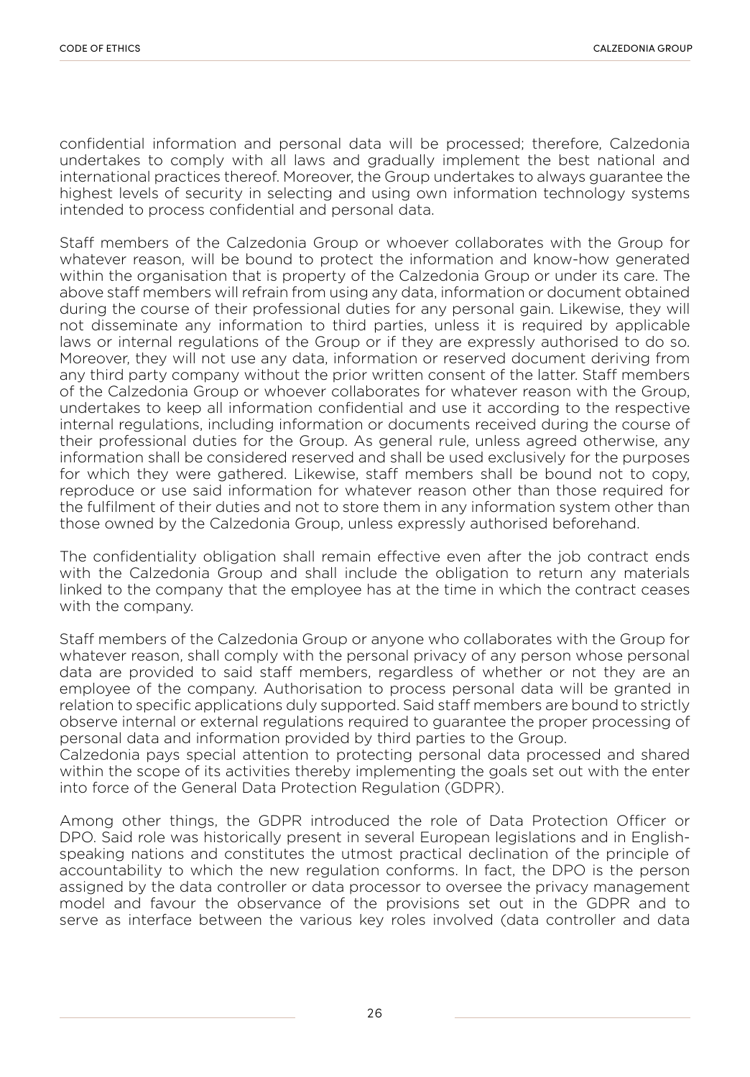confidential information and personal data will be processed; therefore, Calzedonia undertakes to comply with all laws and gradually implement the best national and international practices thereof. Moreover, the Group undertakes to always guarantee the highest levels of security in selecting and using own information technology systems intended to process confidential and personal data.

Staff members of the Calzedonia Group or whoever collaborates with the Group for whatever reason, will be bound to protect the information and know-how generated within the organisation that is property of the Calzedonia Group or under its care. The above staff members will refrain from using any data, information or document obtained during the course of their professional duties for any personal gain. Likewise, they will not disseminate any information to third parties, unless it is required by applicable laws or internal regulations of the Group or if they are expressly authorised to do so. Moreover, they will not use any data, information or reserved document deriving from any third party company without the prior written consent of the latter. Staff members of the Calzedonia Group or whoever collaborates for whatever reason with the Group, undertakes to keep all information confidential and use it according to the respective internal regulations, including information or documents received during the course of their professional duties for the Group. As general rule, unless agreed otherwise, any information shall be considered reserved and shall be used exclusively for the purposes for which they were gathered. Likewise, staff members shall be bound not to copy, reproduce or use said information for whatever reason other than those required for the fulfilment of their duties and not to store them in any information system other than those owned by the Calzedonia Group, unless expressly authorised beforehand.

The confidentiality obligation shall remain effective even after the job contract ends with the Calzedonia Group and shall include the obligation to return any materials linked to the company that the employee has at the time in which the contract ceases with the company.

Staff members of the Calzedonia Group or anyone who collaborates with the Group for whatever reason, shall comply with the personal privacy of any person whose personal data are provided to said staff members, regardless of whether or not they are an employee of the company. Authorisation to process personal data will be granted in relation to specific applications duly supported. Said staff members are bound to strictly observe internal or external regulations required to guarantee the proper processing of personal data and information provided by third parties to the Group.

Calzedonia pays special attention to protecting personal data processed and shared within the scope of its activities thereby implementing the goals set out with the enter into force of the General Data Protection Regulation (GDPR).

Among other things, the GDPR introduced the role of Data Protection Officer or DPO. Said role was historically present in several European legislations and in Englishspeaking nations and constitutes the utmost practical declination of the principle of accountability to which the new regulation conforms. In fact, the DPO is the person assigned by the data controller or data processor to oversee the privacy management model and favour the observance of the provisions set out in the GDPR and to serve as interface between the various key roles involved (data controller and data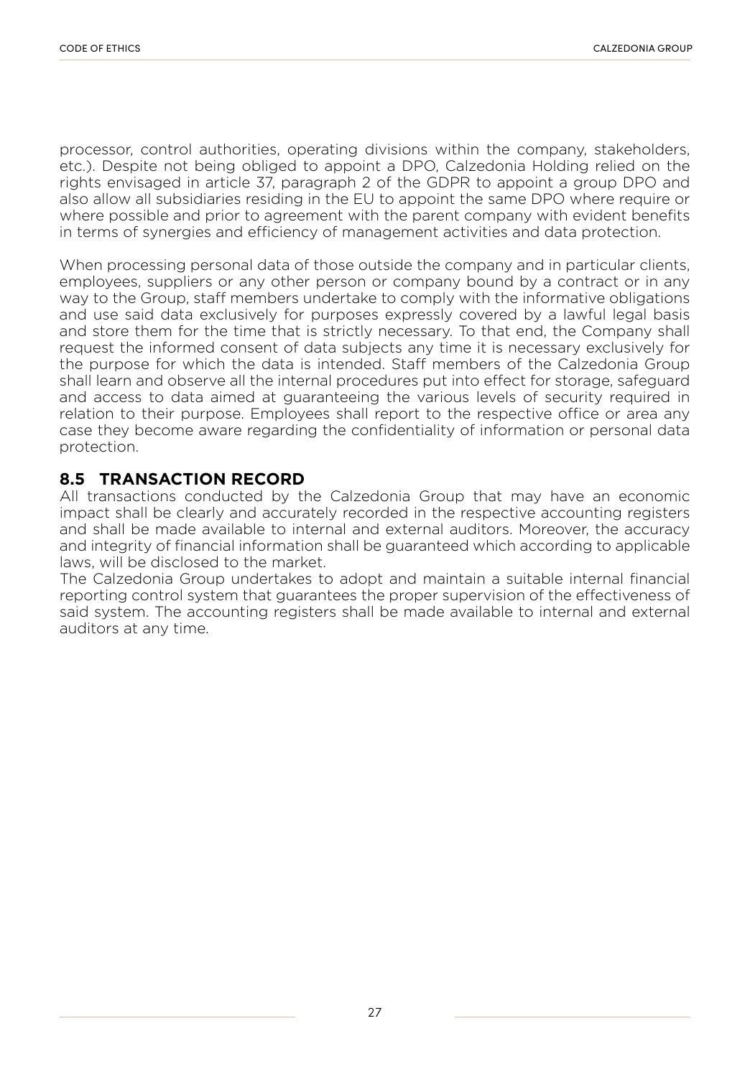processor, control authorities, operating divisions within the company, stakeholders, etc.). Despite not being obliged to appoint a DPO, Calzedonia Holding relied on the rights envisaged in article 37, paragraph 2 of the GDPR to appoint a group DPO and also allow all subsidiaries residing in the EU to appoint the same DPO where require or where possible and prior to agreement with the parent company with evident benefits in terms of synergies and efficiency of management activities and data protection.

When processing personal data of those outside the company and in particular clients, employees, suppliers or any other person or company bound by a contract or in any way to the Group, staff members undertake to comply with the informative obligations and use said data exclusively for purposes expressly covered by a lawful legal basis and store them for the time that is strictly necessary. To that end, the Company shall request the informed consent of data subjects any time it is necessary exclusively for the purpose for which the data is intended. Staff members of the Calzedonia Group shall learn and observe all the internal procedures put into effect for storage, safeguard and access to data aimed at guaranteeing the various levels of security required in relation to their purpose. Employees shall report to the respective office or area any case they become aware regarding the confidentiality of information or personal data protection.

#### **8.5 TRANSACTION RECORD**

All transactions conducted by the Calzedonia Group that may have an economic impact shall be clearly and accurately recorded in the respective accounting registers and shall be made available to internal and external auditors. Moreover, the accuracy and integrity of financial information shall be guaranteed which according to applicable laws, will be disclosed to the market.

The Calzedonia Group undertakes to adopt and maintain a suitable internal financial reporting control system that guarantees the proper supervision of the effectiveness of said system. The accounting registers shall be made available to internal and external auditors at any time.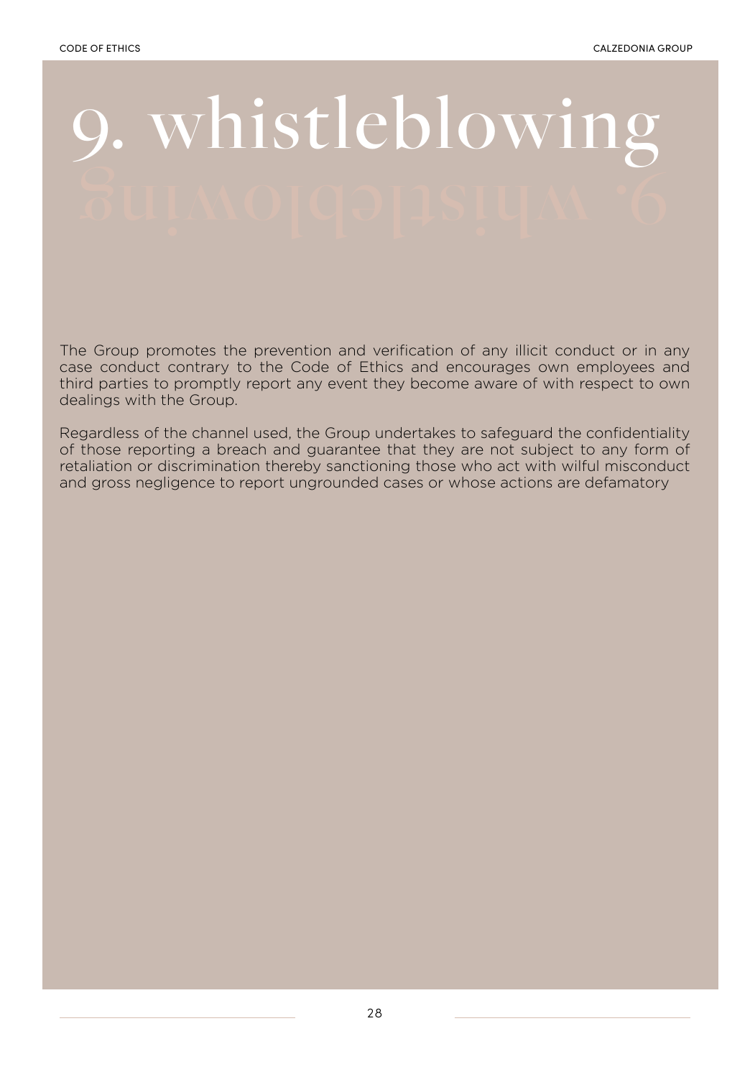# 9. whistleblowing

The Group promotes the prevention and verification of any illicit conduct or in any case conduct contrary to the Code of Ethics and encourages own employees and third parties to promptly report any event they become aware of with respect to own dealings with the Group.

Regardless of the channel used, the Group undertakes to safeguard the confidentiality of those reporting a breach and guarantee that they are not subject to any form of retaliation or discrimination thereby sanctioning those who act with wilful misconduct and gross negligence to report ungrounded cases or whose actions are defamatory